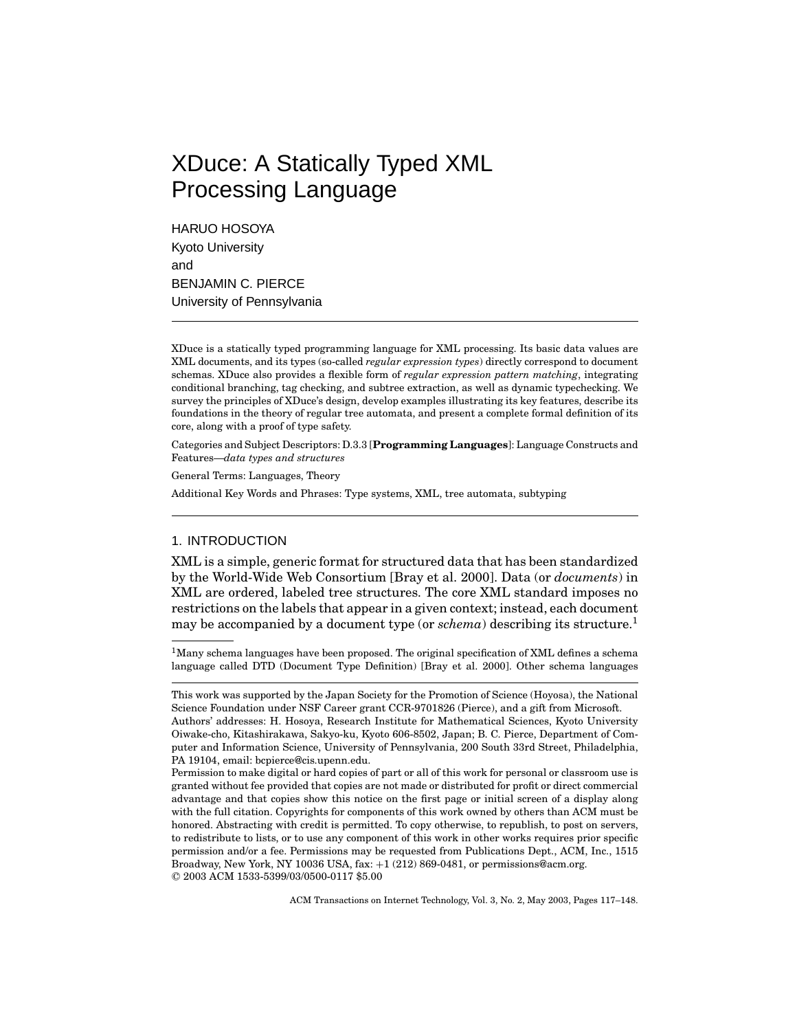# XDuce: A Statically Typed XML Processing Language

HARUO HOSOYA Kyoto University and BENJAMIN C. PIERCE University of Pennsylvania

XDuce is a statically typed programming language for XML processing. Its basic data values are XML documents, and its types (so-called *regular expression types*) directly correspond to document schemas. XDuce also provides a flexible form of *regular expression pattern matching*, integrating conditional branching, tag checking, and subtree extraction, as well as dynamic typechecking. We survey the principles of XDuce's design, develop examples illustrating its key features, describe its foundations in the theory of regular tree automata, and present a complete formal definition of its core, along with a proof of type safety.

Categories and Subject Descriptors: D.3.3 [**Programming Languages**]: Language Constructs and Features—*data types and structures*

General Terms: Languages, Theory

Additional Key Words and Phrases: Type systems, XML, tree automata, subtyping

# 1. INTRODUCTION

XML is a simple, generic format for structured data that has been standardized by the World-Wide Web Consortium [Bray et al. 2000]. Data (or *documents*) in XML are ordered, labeled tree structures. The core XML standard imposes no restrictions on the labels that appear in a given context; instead, each document may be accompanied by a document type (or *schema*) describing its structure.1

 $1$ Many schema languages have been proposed. The original specification of XML defines a schema language called DTD (Document Type Definition) [Bray et al. 2000]. Other schema languages

puter and Information Science, University of Pennsylvania, 200 South 33rd Street, Philadelphia, PA 19104, email: bcpierce@cis.upenn.edu.

ACM Transactions on Internet Technology, Vol. 3, No. 2, May 2003, Pages 117–148.

This work was supported by the Japan Society for the Promotion of Science (Hoyosa), the National Science Foundation under NSF Career grant CCR-9701826 (Pierce), and a gift from Microsoft. Authors' addresses: H. Hosoya, Research Institute for Mathematical Sciences, Kyoto University Oiwake-cho, Kitashirakawa, Sakyo-ku, Kyoto 606-8502, Japan; B. C. Pierce, Department of Com-

Permission to make digital or hard copies of part or all of this work for personal or classroom use is granted without fee provided that copies are not made or distributed for profit or direct commercial advantage and that copies show this notice on the first page or initial screen of a display along with the full citation. Copyrights for components of this work owned by others than ACM must be honored. Abstracting with credit is permitted. To copy otherwise, to republish, to post on servers, to redistribute to lists, or to use any component of this work in other works requires prior specific permission and/or a fee. Permissions may be requested from Publications Dept., ACM, Inc., 1515 Broadway, New York, NY 10036 USA,  $\text{fax:} +1$  (212) 869-0481, or permissions@acm.org. °<sup>C</sup> 2003 ACM 1533-5399/03/0500-0117 \$5.00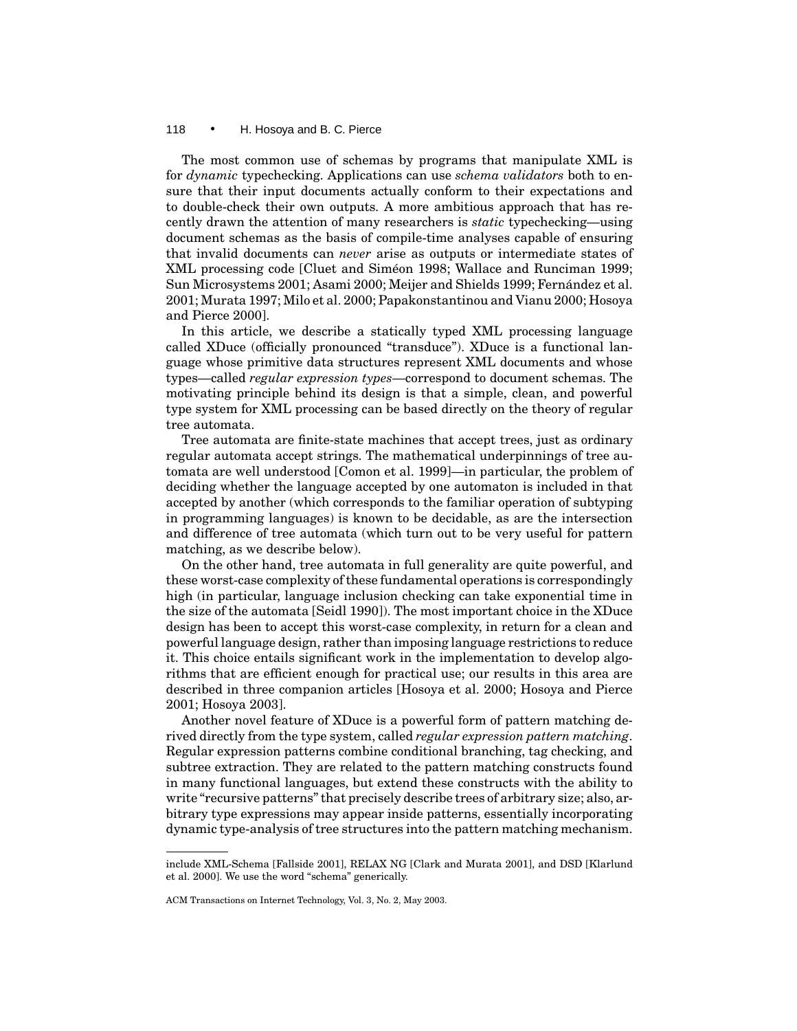The most common use of schemas by programs that manipulate XML is for *dynamic* typechecking. Applications can use *schema validators* both to ensure that their input documents actually conform to their expectations and to double-check their own outputs. A more ambitious approach that has recently drawn the attention of many researchers is *static* typechecking—using document schemas as the basis of compile-time analyses capable of ensuring that invalid documents can *never* arise as outputs or intermediate states of XML processing code [Cluet and Siméon 1998; Wallace and Runciman 1999; Sun Microsystems 2001; Asami 2000; Meijer and Shields 1999; Fernandez et al. ´ 2001; Murata 1997; Milo et al. 2000; Papakonstantinou and Vianu 2000; Hosoya and Pierce 2000].

In this article, we describe a statically typed XML processing language called XDuce (officially pronounced "transduce"). XDuce is a functional language whose primitive data structures represent XML documents and whose types—called *regular expression types*—correspond to document schemas. The motivating principle behind its design is that a simple, clean, and powerful type system for XML processing can be based directly on the theory of regular tree automata.

Tree automata are finite-state machines that accept trees, just as ordinary regular automata accept strings. The mathematical underpinnings of tree automata are well understood [Comon et al. 1999]—in particular, the problem of deciding whether the language accepted by one automaton is included in that accepted by another (which corresponds to the familiar operation of subtyping in programming languages) is known to be decidable, as are the intersection and difference of tree automata (which turn out to be very useful for pattern matching, as we describe below).

On the other hand, tree automata in full generality are quite powerful, and these worst-case complexity of these fundamental operations is correspondingly high (in particular, language inclusion checking can take exponential time in the size of the automata [Seidl 1990]). The most important choice in the XDuce design has been to accept this worst-case complexity, in return for a clean and powerful language design, rather than imposing language restrictions to reduce it. This choice entails significant work in the implementation to develop algorithms that are efficient enough for practical use; our results in this area are described in three companion articles [Hosoya et al. 2000; Hosoya and Pierce 2001; Hosoya 2003].

Another novel feature of XDuce is a powerful form of pattern matching derived directly from the type system, called *regular expression pattern matching*. Regular expression patterns combine conditional branching, tag checking, and subtree extraction. They are related to the pattern matching constructs found in many functional languages, but extend these constructs with the ability to write "recursive patterns" that precisely describe trees of arbitrary size; also, arbitrary type expressions may appear inside patterns, essentially incorporating dynamic type-analysis of tree structures into the pattern matching mechanism.

include XML-Schema [Fallside 2001], RELAX NG [Clark and Murata 2001], and DSD [Klarlund et al. 2000]. We use the word "schema" generically.

ACM Transactions on Internet Technology, Vol. 3, No. 2, May 2003.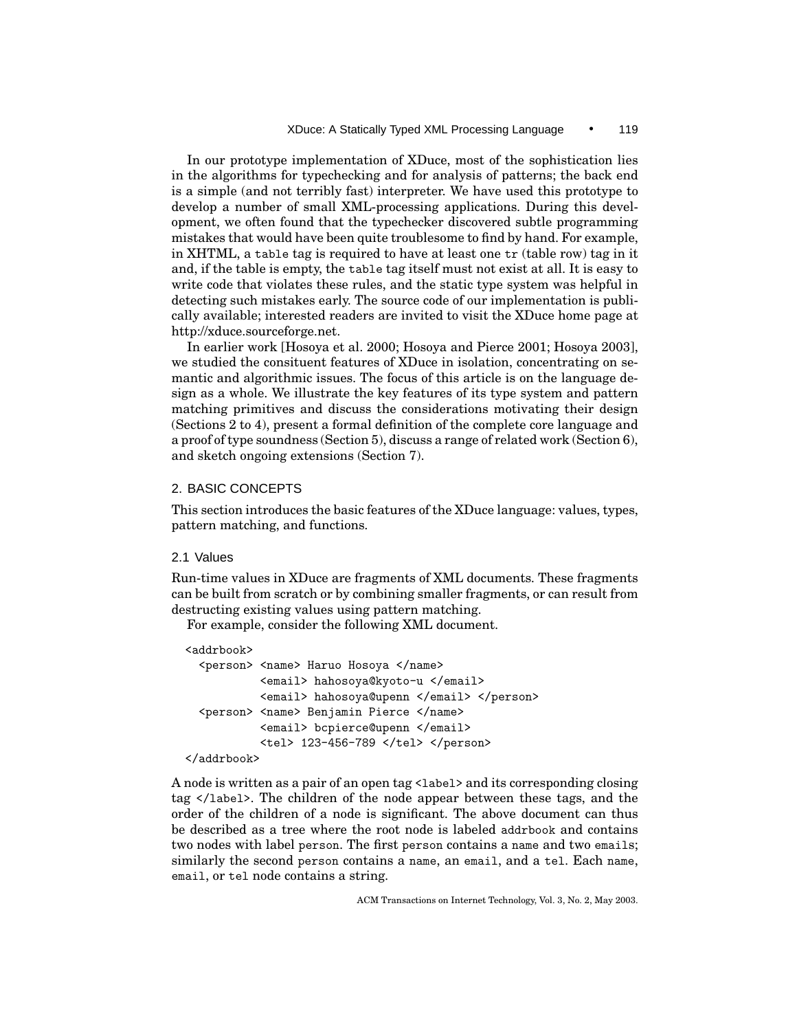In our prototype implementation of XDuce, most of the sophistication lies in the algorithms for typechecking and for analysis of patterns; the back end is a simple (and not terribly fast) interpreter. We have used this prototype to develop a number of small XML-processing applications. During this development, we often found that the typechecker discovered subtle programming mistakes that would have been quite troublesome to find by hand. For example, in XHTML, a table tag is required to have at least one tr (table row) tag in it and, if the table is empty, the table tag itself must not exist at all. It is easy to write code that violates these rules, and the static type system was helpful in detecting such mistakes early. The source code of our implementation is publically available; interested readers are invited to visit the XDuce home page at http://xduce.sourceforge.net.

In earlier work [Hosoya et al. 2000; Hosoya and Pierce 2001; Hosoya 2003], we studied the consituent features of XDuce in isolation, concentrating on semantic and algorithmic issues. The focus of this article is on the language design as a whole. We illustrate the key features of its type system and pattern matching primitives and discuss the considerations motivating their design (Sections 2 to 4), present a formal definition of the complete core language and a proof of type soundness (Section 5), discuss a range of related work (Section 6), and sketch ongoing extensions (Section 7).

# 2. BASIC CONCEPTS

This section introduces the basic features of the XDuce language: values, types, pattern matching, and functions.

# 2.1 Values

Run-time values in XDuce are fragments of XML documents. These fragments can be built from scratch or by combining smaller fragments, or can result from destructing existing values using pattern matching.

For example, consider the following XML document.

```
<addrbook>
  <person> <name> Haruo Hosoya </name>
           <email> hahosoya@kyoto-u </email>
           <email> hahosoya@upenn </email> </person>
  <person> <name> Benjamin Pierce </name>
           <email> bcpierce@upenn </email>
           <tel> 123-456-789 </tel> </person>
</addrbook>
```
A node is written as a pair of an open tag <label> and its corresponding closing tag </label>. The children of the node appear between these tags, and the order of the children of a node is significant. The above document can thus be described as a tree where the root node is labeled addrbook and contains two nodes with label person. The first person contains a name and two emails; similarly the second person contains a name, an email, and a tel. Each name, email, or tel node contains a string.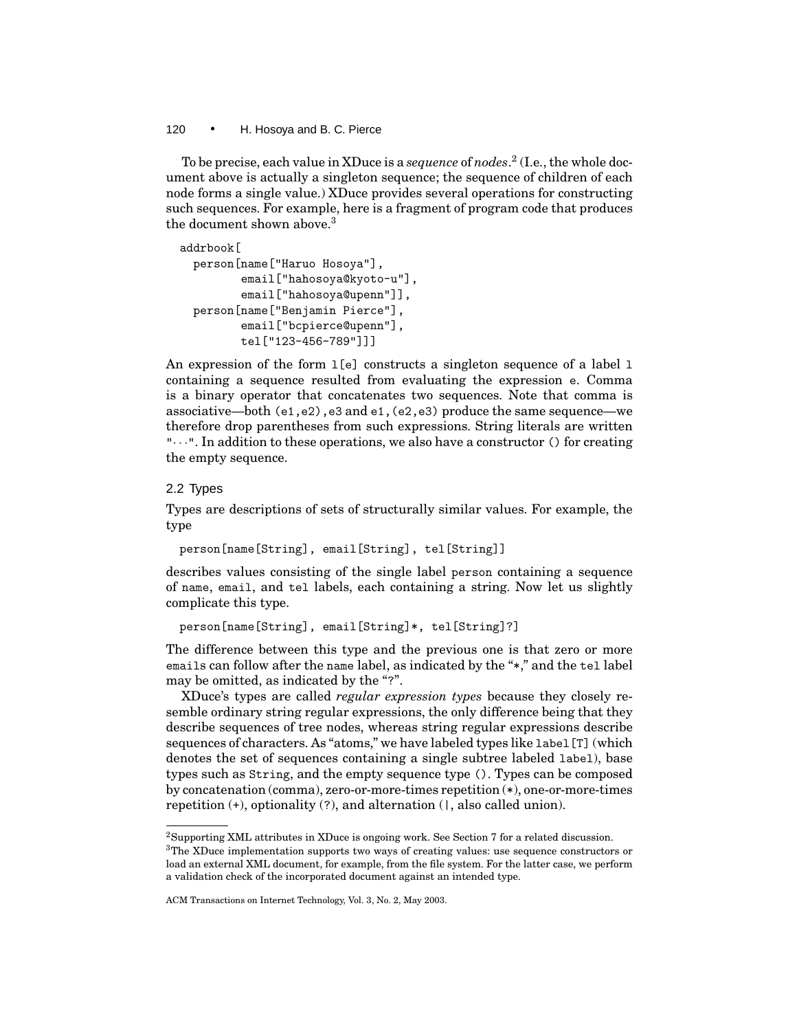To be precise, each value in XDuce is a *sequence* of *nodes*. <sup>2</sup> (I.e., the whole document above is actually a singleton sequence; the sequence of children of each node forms a single value.) XDuce provides several operations for constructing such sequences. For example, here is a fragment of program code that produces the document shown above.<sup>3</sup>

```
addrbook[
 person[name["Haruo Hosoya"],
         email["hahosoya@kyoto-u"],
         email["hahosoya@upenn"]],
 person[name["Benjamin Pierce"],
         email["bcpierce@upenn"],
         tel["123-456-789"]]]
```
An expression of the form  $1[e]$  constructs a singleton sequence of a label 1 containing a sequence resulted from evaluating the expression e. Comma is a binary operator that concatenates two sequences. Note that comma is associative—both  $(e_1,e_2)$ , e3 and e1,  $(e_2,e_3)$  produce the same sequence—we therefore drop parentheses from such expressions. String literals are written "···". In addition to these operations, we also have a constructor () for creating the empty sequence.

## 2.2 Types

Types are descriptions of sets of structurally similar values. For example, the type

```
person[name[String], email[String], tel[String]]
```
describes values consisting of the single label person containing a sequence of name, email, and tel labels, each containing a string. Now let us slightly complicate this type.

```
person[name[String], email[String]*, tel[String]?]
```
The difference between this type and the previous one is that zero or more emails can follow after the name label, as indicated by the "\*," and the tel label may be omitted, as indicated by the "?".

XDuce's types are called *regular expression types* because they closely resemble ordinary string regular expressions, the only difference being that they describe sequences of tree nodes, whereas string regular expressions describe sequences of characters. As "atoms," we have labeled types like label[T] (which denotes the set of sequences containing a single subtree labeled label), base types such as String, and the empty sequence type (). Types can be composed by concatenation (comma), zero-or-more-times repetition (\*), one-or-more-times repetition (+), optionality (?), and alternation (|, also called union).

<sup>2</sup>Supporting XML attributes in XDuce is ongoing work. See Section 7 for a related discussion.

 $^3\mathrm{The}$  XDuce implementation supports two ways of creating values: use sequence constructors or load an external XML document, for example, from the file system. For the latter case, we perform a validation check of the incorporated document against an intended type.

ACM Transactions on Internet Technology, Vol. 3, No. 2, May 2003.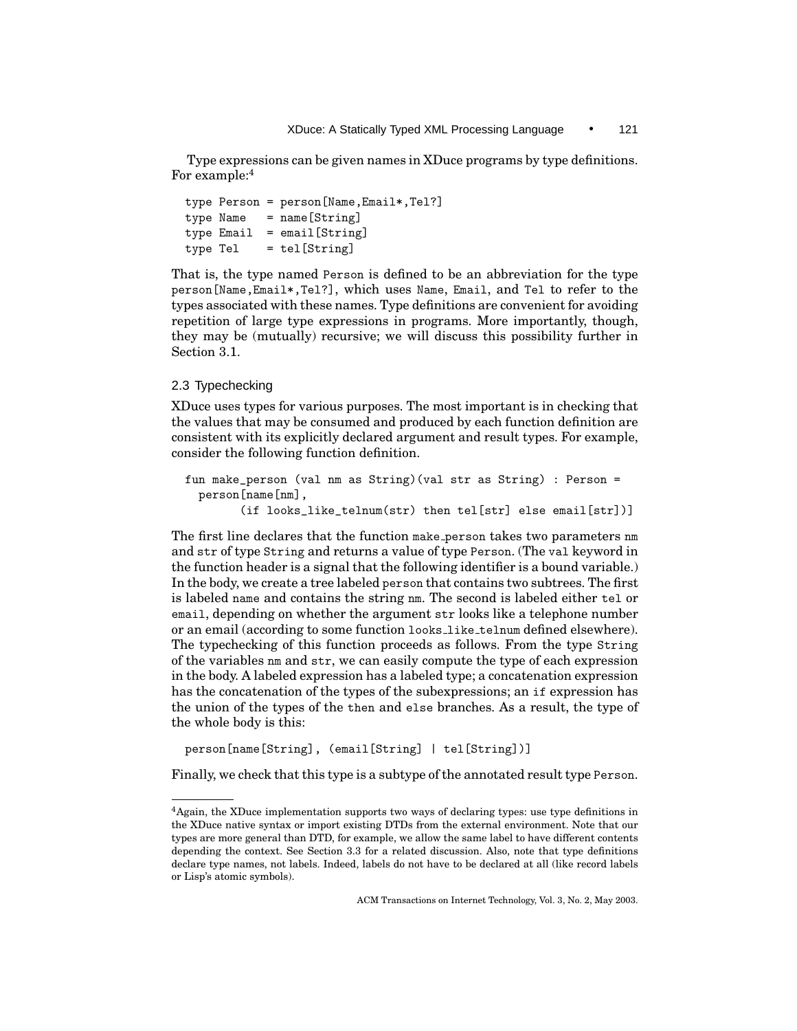Type expressions can be given names in XDuce programs by type definitions. For example:<sup>4</sup>

```
type Person = person[Name, Email*,Tel?]type Name = name[String]type Email = email [String]type Tel = tel[String]
```
That is, the type named Person is defined to be an abbreviation for the type person[Name,Email\*,Tel?], which uses Name, Email, and Tel to refer to the types associated with these names. Type definitions are convenient for avoiding repetition of large type expressions in programs. More importantly, though, they may be (mutually) recursive; we will discuss this possibility further in Section 3.1.

# 2.3 Typechecking

XDuce uses types for various purposes. The most important is in checking that the values that may be consumed and produced by each function definition are consistent with its explicitly declared argument and result types. For example, consider the following function definition.

```
fun make_person (val nm as String)(val str as String) : Person =
 person[name[nm],
        (if looks_like_telnum(str) then tel[str] else email[str])]
```
The first line declares that the function make person takes two parameters nm and str of type String and returns a value of type Person. (The val keyword in the function header is a signal that the following identifier is a bound variable.) In the body, we create a tree labeled person that contains two subtrees. The first is labeled name and contains the string nm. The second is labeled either tel or email, depending on whether the argument str looks like a telephone number or an email (according to some function looks like telnum defined elsewhere). The typechecking of this function proceeds as follows. From the type String of the variables nm and str, we can easily compute the type of each expression in the body. A labeled expression has a labeled type; a concatenation expression has the concatenation of the types of the subexpressions; an if expression has the union of the types of the then and else branches. As a result, the type of the whole body is this:

```
person[name[String], (email[String] | tel[String])]
```
Finally, we check that this type is a subtype of the annotated result type Person.

<sup>&</sup>lt;sup>4</sup>Again, the XDuce implementation supports two ways of declaring types: use type definitions in the XDuce native syntax or import existing DTDs from the external environment. Note that our types are more general than DTD, for example, we allow the same label to have different contents depending the context. See Section 3.3 for a related discussion. Also, note that type definitions declare type names, not labels. Indeed, labels do not have to be declared at all (like record labels or Lisp's atomic symbols).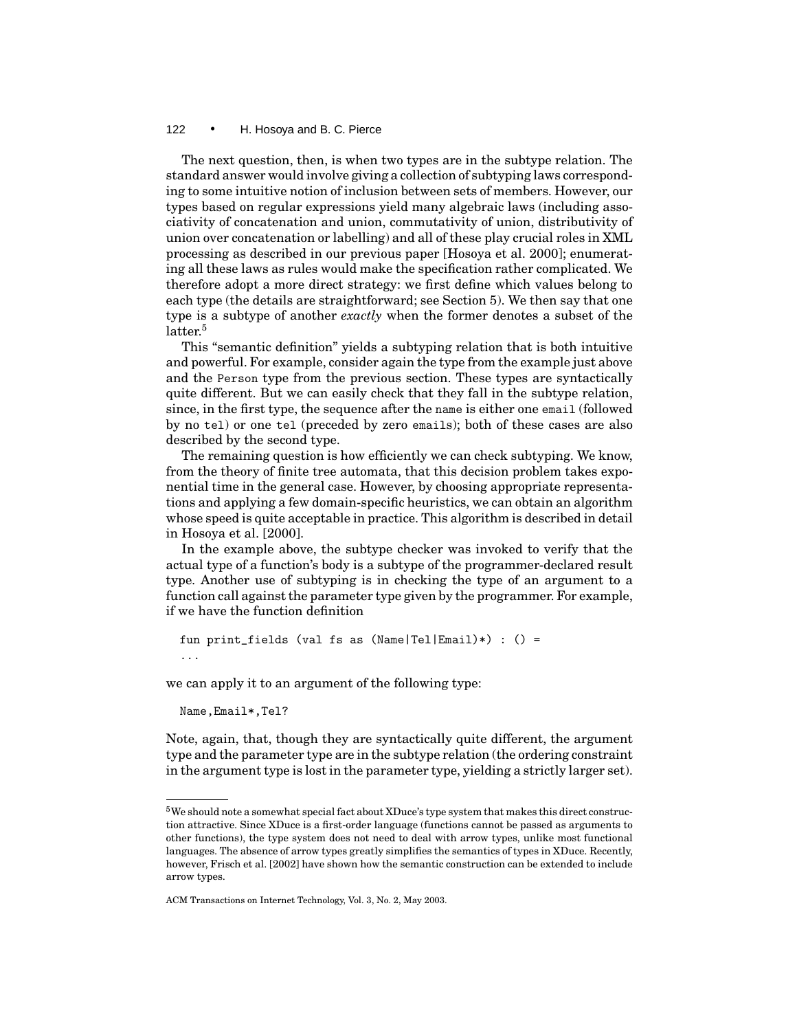The next question, then, is when two types are in the subtype relation. The standard answer would involve giving a collection of subtyping laws corresponding to some intuitive notion of inclusion between sets of members. However, our types based on regular expressions yield many algebraic laws (including associativity of concatenation and union, commutativity of union, distributivity of union over concatenation or labelling) and all of these play crucial roles in XML processing as described in our previous paper [Hosoya et al. 2000]; enumerating all these laws as rules would make the specification rather complicated. We therefore adopt a more direct strategy: we first define which values belong to each type (the details are straightforward; see Section 5). We then say that one type is a subtype of another *exactly* when the former denotes a subset of the latter.<sup>5</sup>

This "semantic definition" yields a subtyping relation that is both intuitive and powerful. For example, consider again the type from the example just above and the Person type from the previous section. These types are syntactically quite different. But we can easily check that they fall in the subtype relation, since, in the first type, the sequence after the name is either one email (followed by no tel) or one tel (preceded by zero emails); both of these cases are also described by the second type.

The remaining question is how efficiently we can check subtyping. We know, from the theory of finite tree automata, that this decision problem takes exponential time in the general case. However, by choosing appropriate representations and applying a few domain-specific heuristics, we can obtain an algorithm whose speed is quite acceptable in practice. This algorithm is described in detail in Hosoya et al. [2000].

In the example above, the subtype checker was invoked to verify that the actual type of a function's body is a subtype of the programmer-declared result type. Another use of subtyping is in checking the type of an argument to a function call against the parameter type given by the programmer. For example, if we have the function definition

```
fun print_fields (val fs as (Name|Tel|Email)*) : () =
...
```
we can apply it to an argument of the following type:

Name, Email\*, Tel?

Note, again, that, though they are syntactically quite different, the argument type and the parameter type are in the subtype relation (the ordering constraint in the argument type is lost in the parameter type, yielding a strictly larger set).

<sup>5</sup>We should note a somewhat special fact about XDuce's type system that makes this direct construction attractive. Since XDuce is a first-order language (functions cannot be passed as arguments to other functions), the type system does not need to deal with arrow types, unlike most functional languages. The absence of arrow types greatly simplifies the semantics of types in XDuce. Recently, however, Frisch et al. [2002] have shown how the semantic construction can be extended to include arrow types.

ACM Transactions on Internet Technology, Vol. 3, No. 2, May 2003.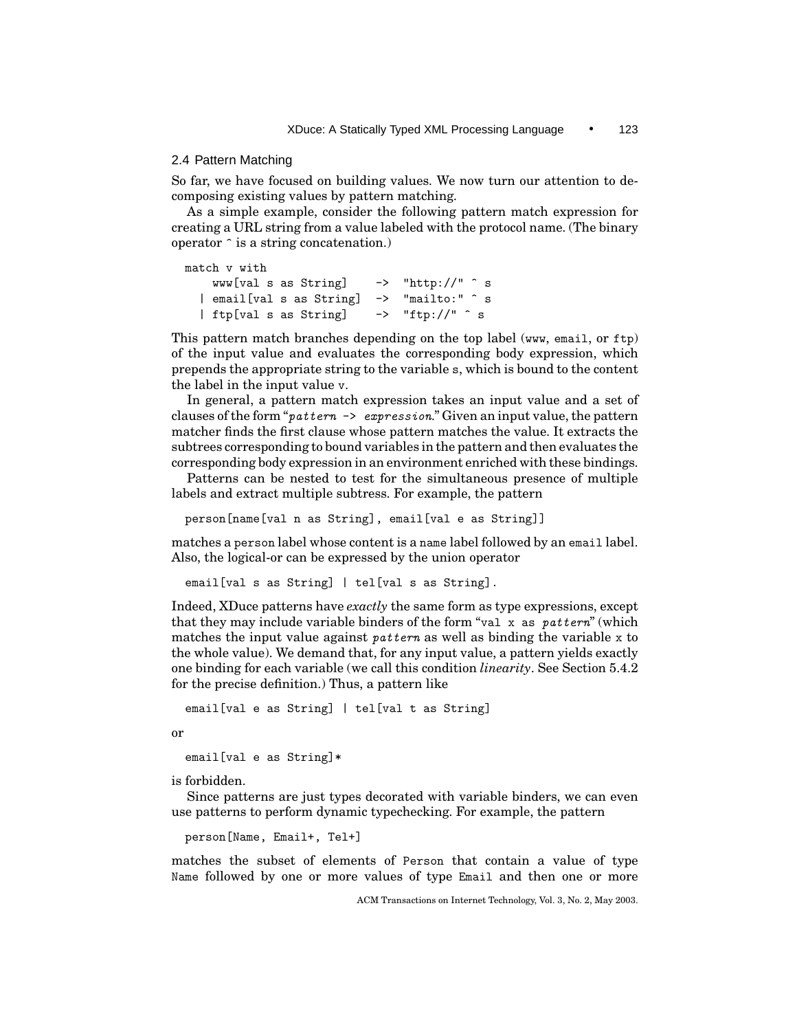# 2.4 Pattern Matching

So far, we have focused on building values. We now turn our attention to decomposing existing values by pattern matching.

As a simple example, consider the following pattern match expression for creating a URL string from a value labeled with the protocol name. (The binary operator ^ is a string concatenation.)

```
match v with
    www[val s as String] \rightarrow "http://" \hat{ } s
  | email[val s as String] -> "mailto:" ^ s
  | ftp[val s as String] -> "ftp://" ^ s
```
This pattern match branches depending on the top label (www, email, or ftp) of the input value and evaluates the corresponding body expression, which prepends the appropriate string to the variable s, which is bound to the content the label in the input value v.

In general, a pattern match expression takes an input value and a set of clauses of the form "pattern  $\rightarrow$  expression." Given an input value, the pattern matcher finds the first clause whose pattern matches the value. It extracts the subtrees corresponding to bound variables in the pattern and then evaluates the corresponding body expression in an environment enriched with these bindings.

Patterns can be nested to test for the simultaneous presence of multiple labels and extract multiple subtress. For example, the pattern

```
person[name[val n as String], email[val e as String]]
```
matches a person label whose content is a name label followed by an email label. Also, the logical-or can be expressed by the union operator

email[val s as String] | tel[val s as String].

Indeed, XDuce patterns have *exactly* the same form as type expressions, except that they may include variable binders of the form "val  $x$  as  $pattern$ " (which matches the input value against pattern as well as binding the variable x to the whole value). We demand that, for any input value, a pattern yields exactly one binding for each variable (we call this condition *linearity*. See Section 5.4.2 for the precise definition.) Thus, a pattern like

email[val e as String] | tel[val t as String]

or

email[val e as String]\*

is forbidden.

Since patterns are just types decorated with variable binders, we can even use patterns to perform dynamic typechecking. For example, the pattern

```
person[Name, Email+, Tel+]
```
matches the subset of elements of Person that contain a value of type Name followed by one or more values of type Email and then one or more

```
ACM Transactions on Internet Technology, Vol. 3, No. 2, May 2003.
```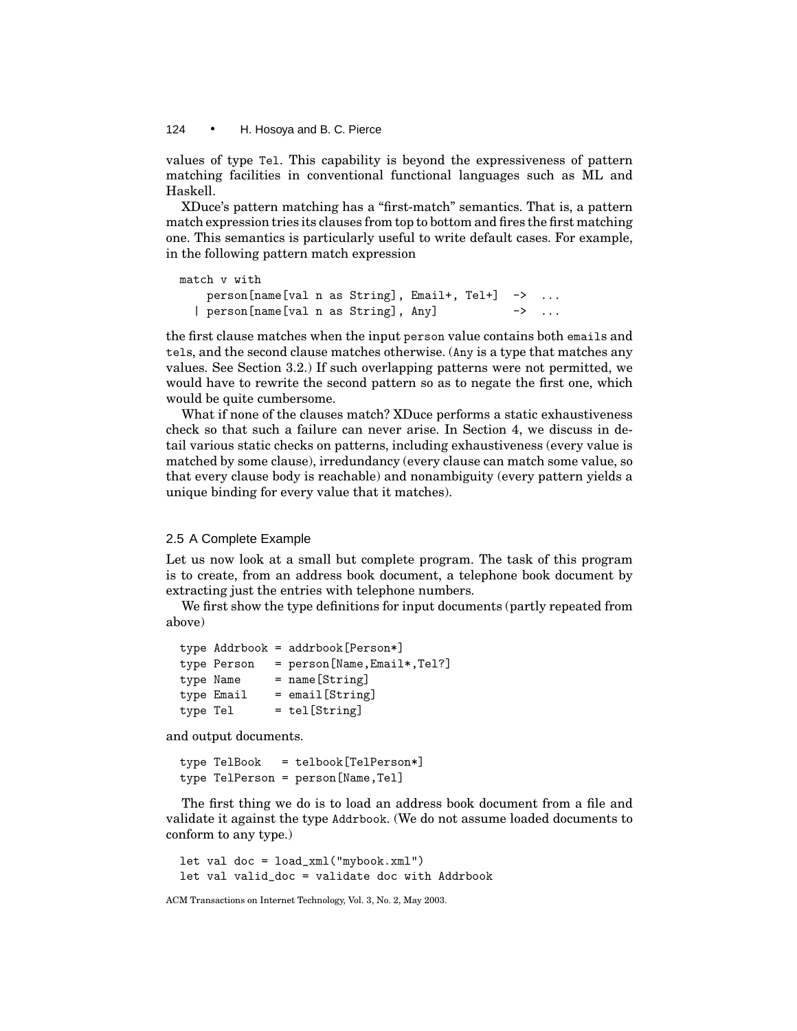values of type Tel. This capability is beyond the expressiveness of pattern matching facilities in conventional functional languages such as ML and Haskell.

XDuce's pattern matching has a "first-match" semantics. That is, a pattern match expression tries its clauses from top to bottom and fires the first matching one. This semantics is particularly useful to write default cases. For example, in the following pattern match expression

```
match v with
   person[name[val n as String], Email+, Tel+] -> ...
 | person[name[val n as String], Any] -> ...
```
the first clause matches when the input person value contains both emails and tels, and the second clause matches otherwise. (Any is a type that matches any values. See Section 3.2.) If such overlapping patterns were not permitted, we would have to rewrite the second pattern so as to negate the first one, which would be quite cumbersome.

What if none of the clauses match? XDuce performs a static exhaustiveness check so that such a failure can never arise. In Section 4, we discuss in detail various static checks on patterns, including exhaustiveness (every value is matched by some clause), irredundancy (every clause can match some value, so that every clause body is reachable) and nonambiguity (every pattern yields a unique binding for every value that it matches).

## 2.5 A Complete Example

Let us now look at a small but complete program. The task of this program is to create, from an address book document, a telephone book document by extracting just the entries with telephone numbers.

We first show the type definitions for input documents (partly repeated from above)

```
type Addrbook = addrbook[Person*]
type Person = person[Name, Email*, Tel?]
type Name = name [String]
type Email = email [String]type Tel = tel [String]
```
and output documents.

```
type TelBook = telbook[TelPerson*]
type TelPerson = person[Name,Tel]
```
The first thing we do is to load an address book document from a file and validate it against the type Addrbook. (We do not assume loaded documents to conform to any type.)

```
let val doc = load\_xm1("mybook.xml")let val valid_doc = validate doc with Addrbook
```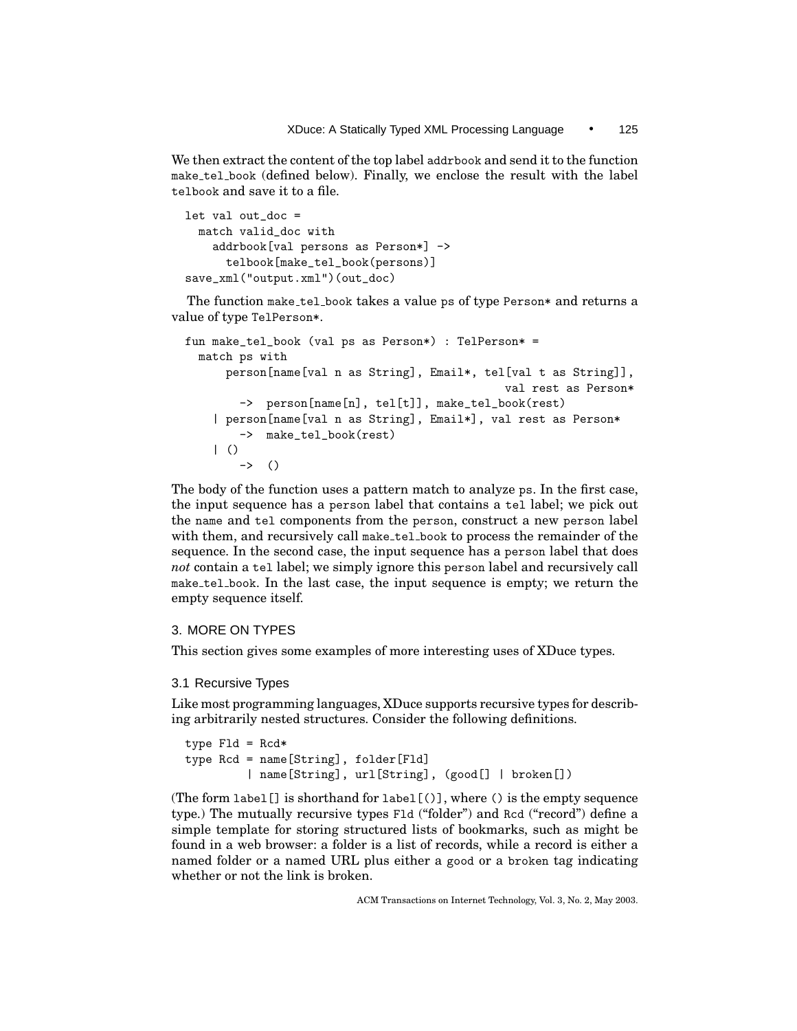We then extract the content of the top label addrbook and send it to the function make tel book (defined below). Finally, we enclose the result with the label telbook and save it to a file.

```
let val out_doc =
 match valid_doc with
    addrbook[val persons as Person*] ->
      telbook[make_tel_book(persons)]
save_xml("output.xml")(out_doc)
```
The function make tel book takes a value ps of type Person\* and returns a value of type TelPerson\*.

```
fun make_tel_book (val ps as Person*) : TelPerson* =
  match ps with
      person[name[val n as String], Email*, tel[val t as String]],
                                                 val rest as Person*
        -> person[name[n], tel[t]], make_tel_book(rest)
    | person[name[val n as String], Email*], val rest as Person*
        -> make_tel_book(rest)
    \vert ()
        \rightarrow ()
```
The body of the function uses a pattern match to analyze ps. In the first case, the input sequence has a person label that contains a tel label; we pick out the name and tel components from the person, construct a new person label with them, and recursively call make tel book to process the remainder of the sequence. In the second case, the input sequence has a person label that does *not* contain a tel label; we simply ignore this person label and recursively call make tel book. In the last case, the input sequence is empty; we return the empty sequence itself.

# 3. MORE ON TYPES

This section gives some examples of more interesting uses of XDuce types.

#### 3.1 Recursive Types

Like most programming languages, XDuce supports recursive types for describing arbitrarily nested structures. Consider the following definitions.

```
type F1d = Rcd*type Rcd = name[String], folder[Fld]
         | name[String], url[String], (good[] | broken[])
```
(The form label[] is shorthand for label[()], where () is the empty sequence type.) The mutually recursive types Fld ("folder") and Rcd ("record") define a simple template for storing structured lists of bookmarks, such as might be found in a web browser: a folder is a list of records, while a record is either a named folder or a named URL plus either a good or a broken tag indicating whether or not the link is broken.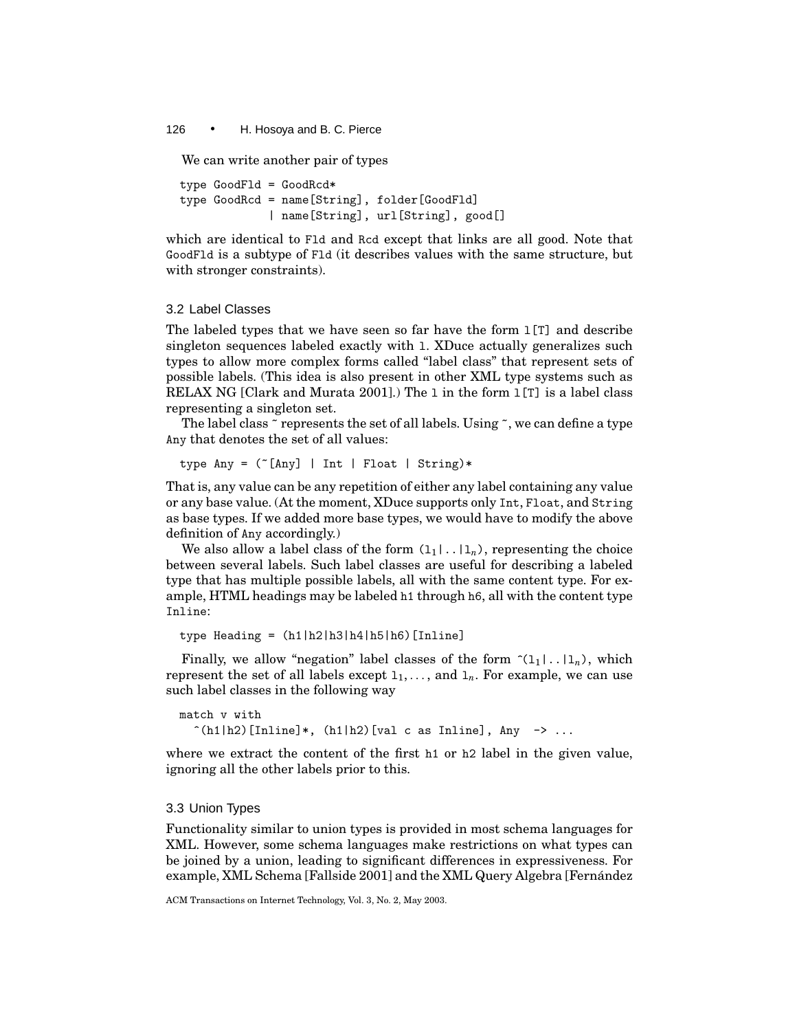We can write another pair of types

type GoodFld = GoodRcd\* type GoodRcd = name[String], folder[GoodFld] | name[String], url[String], good[]

which are identical to Fld and Rcd except that links are all good. Note that GoodFld is a subtype of Fld (it describes values with the same structure, but with stronger constraints).

## 3.2 Label Classes

The labeled types that we have seen so far have the form l[T] and describe singleton sequences labeled exactly with l. XDuce actually generalizes such types to allow more complex forms called "label class" that represent sets of possible labels. (This idea is also present in other XML type systems such as RELAX NG [Clark and Murata 2001].) The l in the form l[T] is a label class representing a singleton set.

The label class  $\tilde{\ }$  represents the set of all labels. Using  $\tilde{\ }$ , we can define a type Any that denotes the set of all values:

type Any =  $(^{6}$ [Any] | Int | Float | String)\*

That is, any value can be any repetition of either any label containing any value or any base value. (At the moment, XDuce supports only Int, Float, and String as base types. If we added more base types, we would have to modify the above definition of Any accordingly.)

We also allow a label class of the form  $(1_1|\ldots|1_n)$ , representing the choice between several labels. Such label classes are useful for describing a labeled type that has multiple possible labels, all with the same content type. For example, HTML headings may be labeled h1 through h6, all with the content type Inline:

```
type Heading = (h1|h2|h3|h4|h5|h6)[Inline]
```
Finally, we allow "negation" label classes of the form  $\hat{C}(1|\cdot,1|\cdot,n)$ , which represent the set of all labels except  $1_1, \ldots$ , and  $1_n$ . For example, we can use such label classes in the following way

```
match v with
  \hat{h}(h1|h2)[Inline]*, (h1|h2)[val c as Inline], Any \rightarrow \ldots
```
where we extract the content of the first h<sub>1</sub> or h<sub>2</sub> label in the given value, ignoring all the other labels prior to this.

# 3.3 Union Types

Functionality similar to union types is provided in most schema languages for XML. However, some schema languages make restrictions on what types can be joined by a union, leading to significant differences in expressiveness. For example, XML Schema [Fallside 2001] and the XML Query Algebra [Fernandez]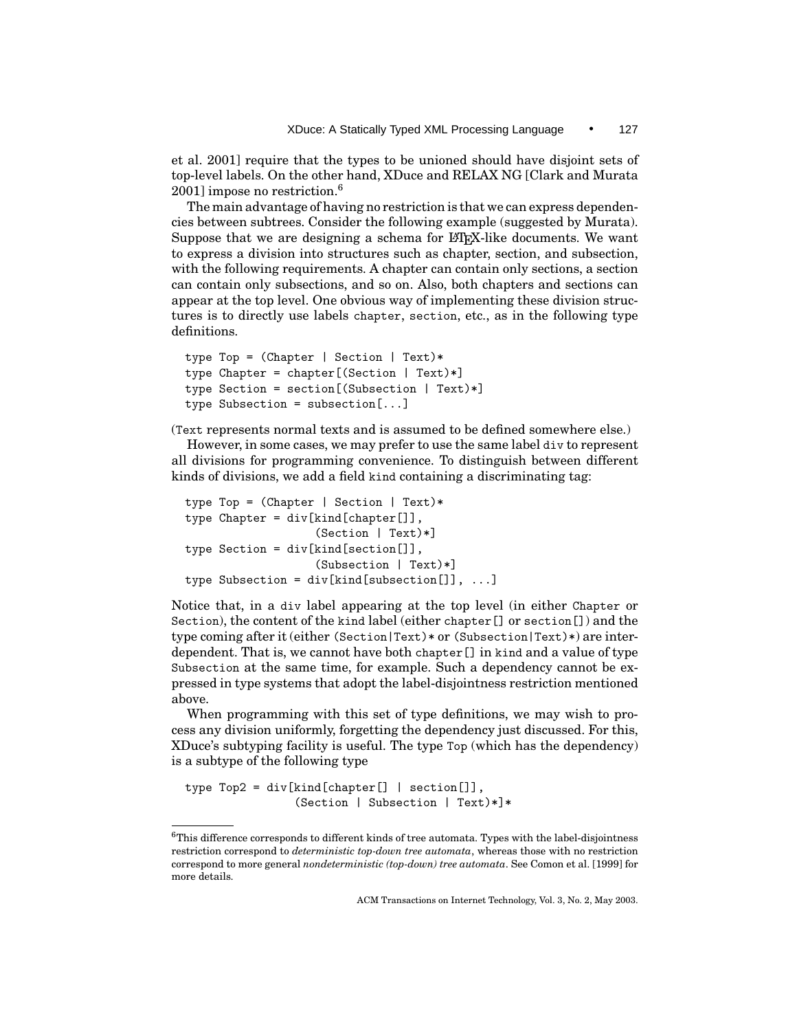et al. 2001] require that the types to be unioned should have disjoint sets of top-level labels. On the other hand, XDuce and RELAX NG [Clark and Murata 2001] impose no restriction.6

The main advantage of having no restriction is that we can express dependencies between subtrees. Consider the following example (suggested by Murata). Suppose that we are designing a schema for LATEX-like documents. We want to express a division into structures such as chapter, section, and subsection, with the following requirements. A chapter can contain only sections, a section can contain only subsections, and so on. Also, both chapters and sections can appear at the top level. One obvious way of implementing these division structures is to directly use labels chapter, section, etc., as in the following type definitions.

```
type Top = (Chapter | Section | Text)*type Chapter = chapter [(Section | Text)*]type Section = section[(Subsection | Text)*]type Subsection = subsection[...]
```
(Text represents normal texts and is assumed to be defined somewhere else.)

However, in some cases, we may prefer to use the same label div to represent all divisions for programming convenience. To distinguish between different kinds of divisions, we add a field kind containing a discriminating tag:

```
type Top = (Chapter | Section | Text)*
type Chapter = div[kind[chapter[]],
                   (Section | Text)*]
type Section = div[kind[section[]],
                   (Subsection | Text)*]
type Subsection = div[kind[subsection[]], ...]
```
Notice that, in a div label appearing at the top level (in either Chapter or Section), the content of the kind label (either chapter[] or section[]) and the type coming after it (either (Section|Text)\* or (Subsection|Text)\*) are interdependent. That is, we cannot have both chapter [] in kind and a value of type Subsection at the same time, for example. Such a dependency cannot be expressed in type systems that adopt the label-disjointness restriction mentioned above.

When programming with this set of type definitions, we may wish to process any division uniformly, forgetting the dependency just discussed. For this, XDuce's subtyping facility is useful. The type Top (which has the dependency) is a subtype of the following type

```
type Top2 = div[kind[chapter[] | section[]],
                (Section | Subsection | Text)*]*
```
 $6$ This difference corresponds to different kinds of tree automata. Types with the label-disjointness restriction correspond to *deterministic top-down tree automata*, whereas those with no restriction correspond to more general *nondeterministic (top-down) tree automata*. See Comon et al. [1999] for more details.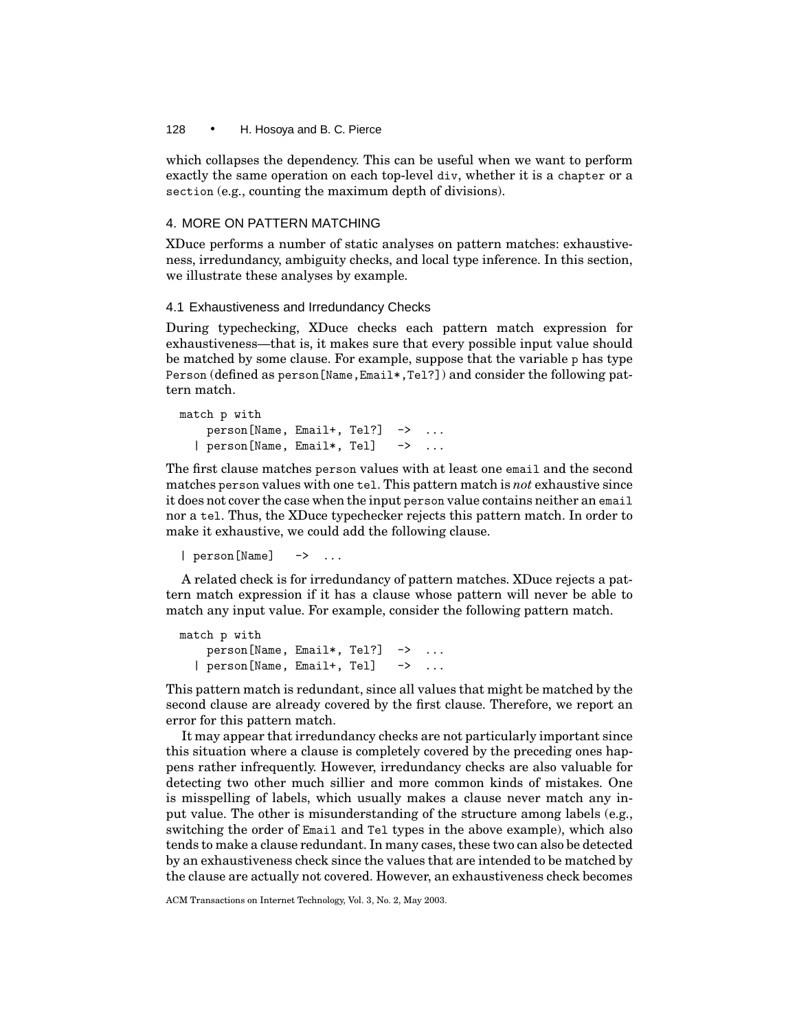which collapses the dependency. This can be useful when we want to perform exactly the same operation on each top-level div, whether it is a chapter or a section (e.g., counting the maximum depth of divisions).

# 4. MORE ON PATTERN MATCHING

XDuce performs a number of static analyses on pattern matches: exhaustiveness, irredundancy, ambiguity checks, and local type inference. In this section, we illustrate these analyses by example.

## 4.1 Exhaustiveness and Irredundancy Checks

During typechecking, XDuce checks each pattern match expression for exhaustiveness—that is, it makes sure that every possible input value should be matched by some clause. For example, suppose that the variable p has type Person (defined as person[Name,Email\*,Tel?]) and consider the following pattern match.

```
match p with
   person[Name, Email+, Tel?] -> ...
  | person[Name, Email*, Tel] -> ...
```
The first clause matches person values with at least one email and the second matches person values with one tel. This pattern match is *not* exhaustive since it does not cover the case when the input person value contains neither an email nor a tel. Thus, the XDuce typechecker rejects this pattern match. In order to make it exhaustive, we could add the following clause.

```
| person [Name] \rightarrow
```
A related check is for irredundancy of pattern matches. XDuce rejects a pattern match expression if it has a clause whose pattern will never be able to match any input value. For example, consider the following pattern match.

```
match p with
   person[Name, Email*, Tel?] -> ...
  | person[Name, Email+, Tel] -> ...
```
This pattern match is redundant, since all values that might be matched by the second clause are already covered by the first clause. Therefore, we report an error for this pattern match.

It may appear that irredundancy checks are not particularly important since this situation where a clause is completely covered by the preceding ones happens rather infrequently. However, irredundancy checks are also valuable for detecting two other much sillier and more common kinds of mistakes. One is misspelling of labels, which usually makes a clause never match any input value. The other is misunderstanding of the structure among labels (e.g., switching the order of Email and Tel types in the above example), which also tends to make a clause redundant. In many cases, these two can also be detected by an exhaustiveness check since the values that are intended to be matched by the clause are actually not covered. However, an exhaustiveness check becomes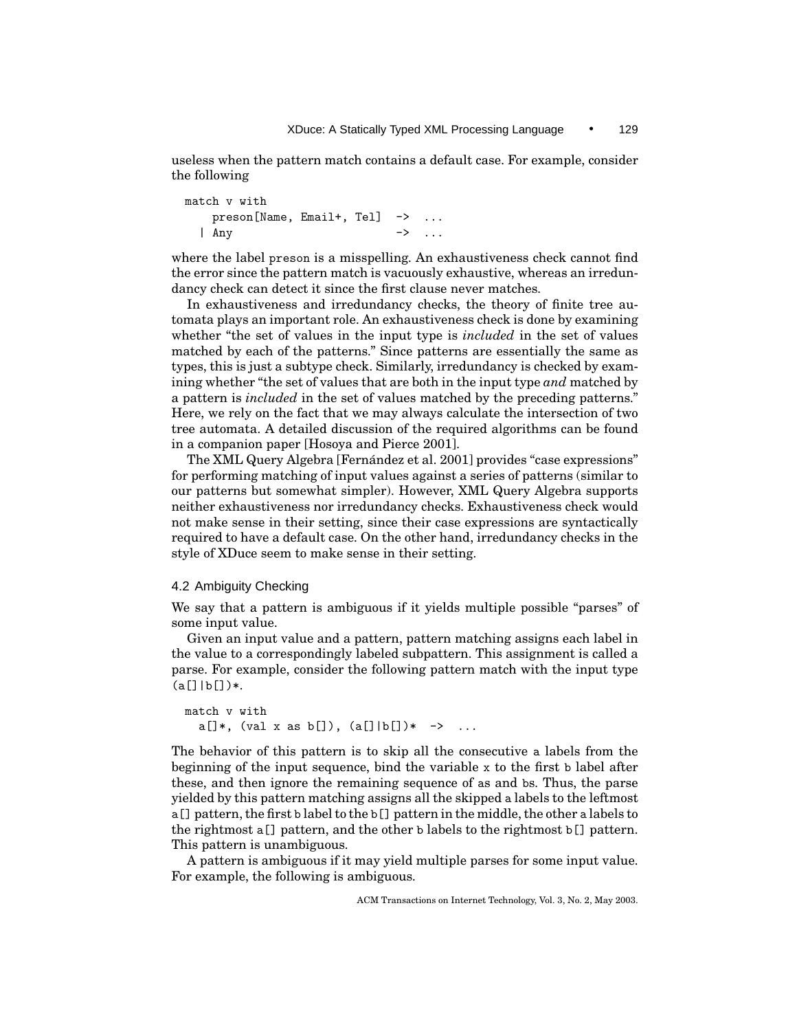useless when the pattern match contains a default case. For example, consider the following

```
match v with
  preson[Name, Email+, Tel] -> ...
 | Any -> ...
```
where the label preson is a misspelling. An exhaustiveness check cannot find the error since the pattern match is vacuously exhaustive, whereas an irredundancy check can detect it since the first clause never matches.

In exhaustiveness and irredundancy checks, the theory of finite tree automata plays an important role. An exhaustiveness check is done by examining whether "the set of values in the input type is *included* in the set of values matched by each of the patterns." Since patterns are essentially the same as types, this is just a subtype check. Similarly, irredundancy is checked by examining whether "the set of values that are both in the input type *and* matched by a pattern is *included* in the set of values matched by the preceding patterns." Here, we rely on the fact that we may always calculate the intersection of two tree automata. A detailed discussion of the required algorithms can be found in a companion paper [Hosoya and Pierce 2001].

The XML Query Algebra [Fernández et al. 2001] provides "case expressions" for performing matching of input values against a series of patterns (similar to our patterns but somewhat simpler). However, XML Query Algebra supports neither exhaustiveness nor irredundancy checks. Exhaustiveness check would not make sense in their setting, since their case expressions are syntactically required to have a default case. On the other hand, irredundancy checks in the style of XDuce seem to make sense in their setting.

# 4.2 Ambiguity Checking

We say that a pattern is ambiguous if it yields multiple possible "parses" of some input value.

Given an input value and a pattern, pattern matching assigns each label in the value to a correspondingly labeled subpattern. This assignment is called a parse. For example, consider the following pattern match with the input type  $(a[]|b[])*$ .

```
match v with
  a[]*, (val x as b[]), (a[] | b[]) * -> ...
```
The behavior of this pattern is to skip all the consecutive a labels from the beginning of the input sequence, bind the variable x to the first b label after these, and then ignore the remaining sequence of as and bs. Thus, the parse yielded by this pattern matching assigns all the skipped a labels to the leftmost a[] pattern, the first b label to the b[] pattern in the middle, the other a labels to the rightmost a[] pattern, and the other b labels to the rightmost b[] pattern. This pattern is unambiguous.

A pattern is ambiguous if it may yield multiple parses for some input value. For example, the following is ambiguous.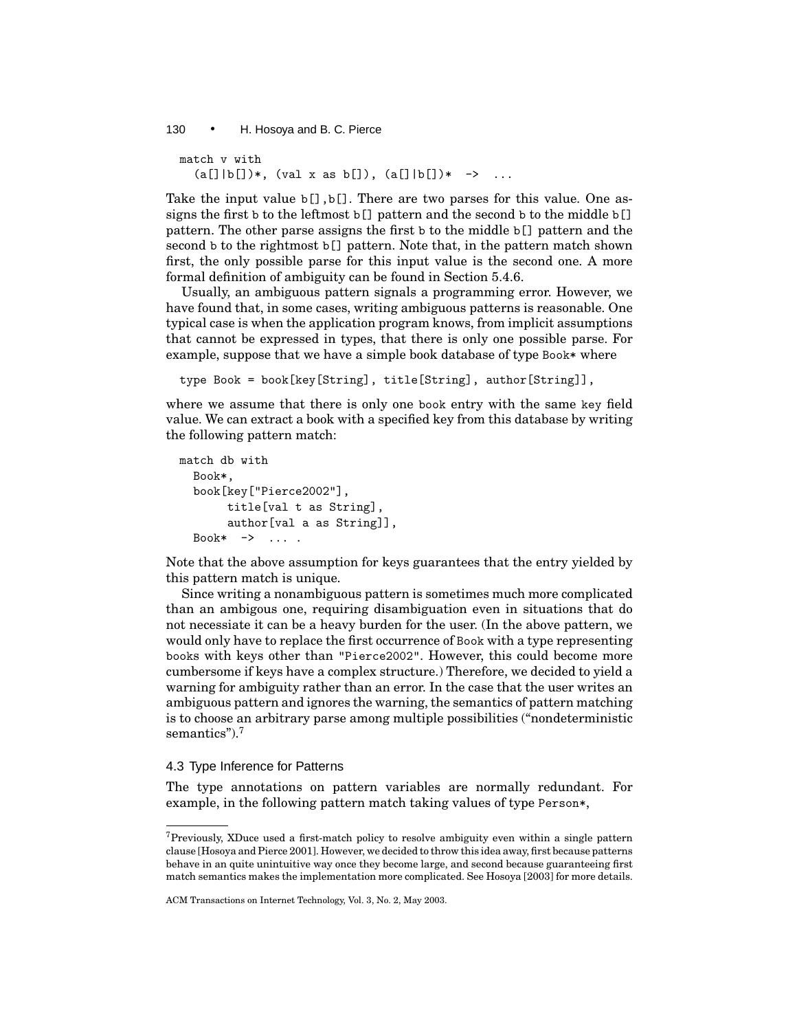```
match v with
  (a[]|b[])*, (val x as b[]), (a[]|b[])* ->
```
Take the input value  $b[]$ ,  $b[]$ . There are two parses for this value. One assigns the first b to the leftmost b[] pattern and the second b to the middle b[] pattern. The other parse assigns the first b to the middle b[] pattern and the second b to the rightmost b[] pattern. Note that, in the pattern match shown first, the only possible parse for this input value is the second one. A more formal definition of ambiguity can be found in Section 5.4.6.

Usually, an ambiguous pattern signals a programming error. However, we have found that, in some cases, writing ambiguous patterns is reasonable. One typical case is when the application program knows, from implicit assumptions that cannot be expressed in types, that there is only one possible parse. For example, suppose that we have a simple book database of type Book\* where

```
type Book = book[key[String], title[String], author[String]],
```
where we assume that there is only one book entry with the same key field value. We can extract a book with a specified key from this database by writing the following pattern match:

```
match db with
  Book*,
  book[key["Pierce2002"],
       title[val t as String],
       author[val a as String]],
  Book* \rightarrow ....
```
Note that the above assumption for keys guarantees that the entry yielded by this pattern match is unique.

Since writing a nonambiguous pattern is sometimes much more complicated than an ambigous one, requiring disambiguation even in situations that do not necessiate it can be a heavy burden for the user. (In the above pattern, we would only have to replace the first occurrence of Book with a type representing books with keys other than "Pierce2002". However, this could become more cumbersome if keys have a complex structure.) Therefore, we decided to yield a warning for ambiguity rather than an error. In the case that the user writes an ambiguous pattern and ignores the warning, the semantics of pattern matching is to choose an arbitrary parse among multiple possibilities ("nondeterministic semantics").<sup>7</sup>

## 4.3 Type Inference for Patterns

The type annotations on pattern variables are normally redundant. For example, in the following pattern match taking values of type Person\*,

<sup>7</sup>Previously, XDuce used a first-match policy to resolve ambiguity even within a single pattern clause [Hosoya and Pierce 2001]. However, we decided to throw this idea away, first because patterns behave in an quite unintuitive way once they become large, and second because guaranteeing first match semantics makes the implementation more complicated. See Hosoya [2003] for more details.

ACM Transactions on Internet Technology, Vol. 3, No. 2, May 2003.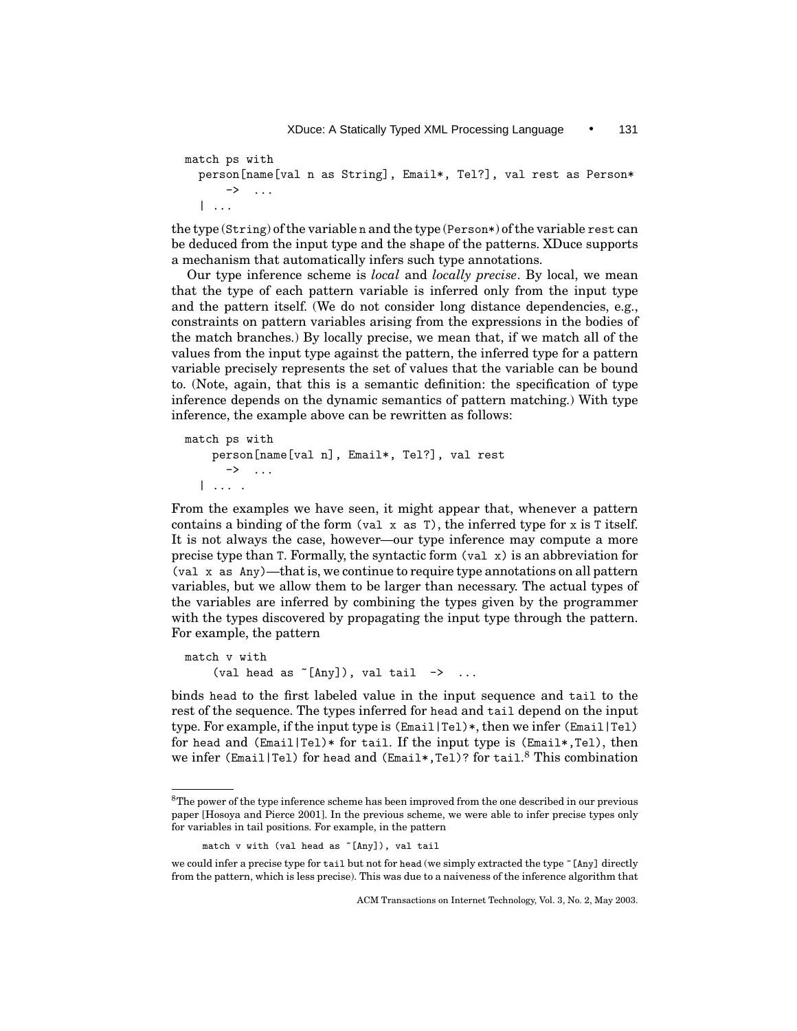```
match ps with
  person[name[val n as String], Email*, Tel?], val rest as Person*
       \rightarrow ...
  | ...
```
the type (String) of the variable n and the type (Person\*) of the variable rest can be deduced from the input type and the shape of the patterns. XDuce supports a mechanism that automatically infers such type annotations.

Our type inference scheme is *local* and *locally precise*. By local, we mean that the type of each pattern variable is inferred only from the input type and the pattern itself. (We do not consider long distance dependencies, e.g., constraints on pattern variables arising from the expressions in the bodies of the match branches.) By locally precise, we mean that, if we match all of the values from the input type against the pattern, the inferred type for a pattern variable precisely represents the set of values that the variable can be bound to. (Note, again, that this is a semantic definition: the specification of type inference depends on the dynamic semantics of pattern matching.) With type inference, the example above can be rewritten as follows:

```
match ps with
   person[name[val n], Email*, Tel?], val rest
      -> ...
  | ... .
```
From the examples we have seen, it might appear that, whenever a pattern contains a binding of the form (val  $x$  as T), the inferred type for  $x$  is T itself. It is not always the case, however—our type inference may compute a more precise type than T. Formally, the syntactic form  $($ val  $x)$  is an abbreviation for (val x as Any)—that is, we continue to require type annotations on all pattern variables, but we allow them to be larger than necessary. The actual types of the variables are inferred by combining the types given by the programmer with the types discovered by propagating the input type through the pattern. For example, the pattern

```
match v with
     (val head as \tilde{[Any]}), val tail \rightarrow ...
```
binds head to the first labeled value in the input sequence and tail to the rest of the sequence. The types inferred for head and tail depend on the input type. For example, if the input type is (Email|Tel)\*, then we infer (Email|Tel) for head and  $(Email|Tel)*$  for tail. If the input type is  $(Email*,Tel)$ , then we infer (Email|Tel) for head and (Email\*,Tel)? for tail.<sup>8</sup> This combination

<sup>&</sup>lt;sup>8</sup>The power of the type inference scheme has been improved from the one described in our previous paper [Hosoya and Pierce 2001]. In the previous scheme, we were able to infer precise types only for variables in tail positions. For example, in the pattern

match v with (val head as "[Any]), val tail

we could infer a precise type for tail but not for head (we simply extracted the type ~[Any] directly from the pattern, which is less precise). This was due to a naiveness of the inference algorithm that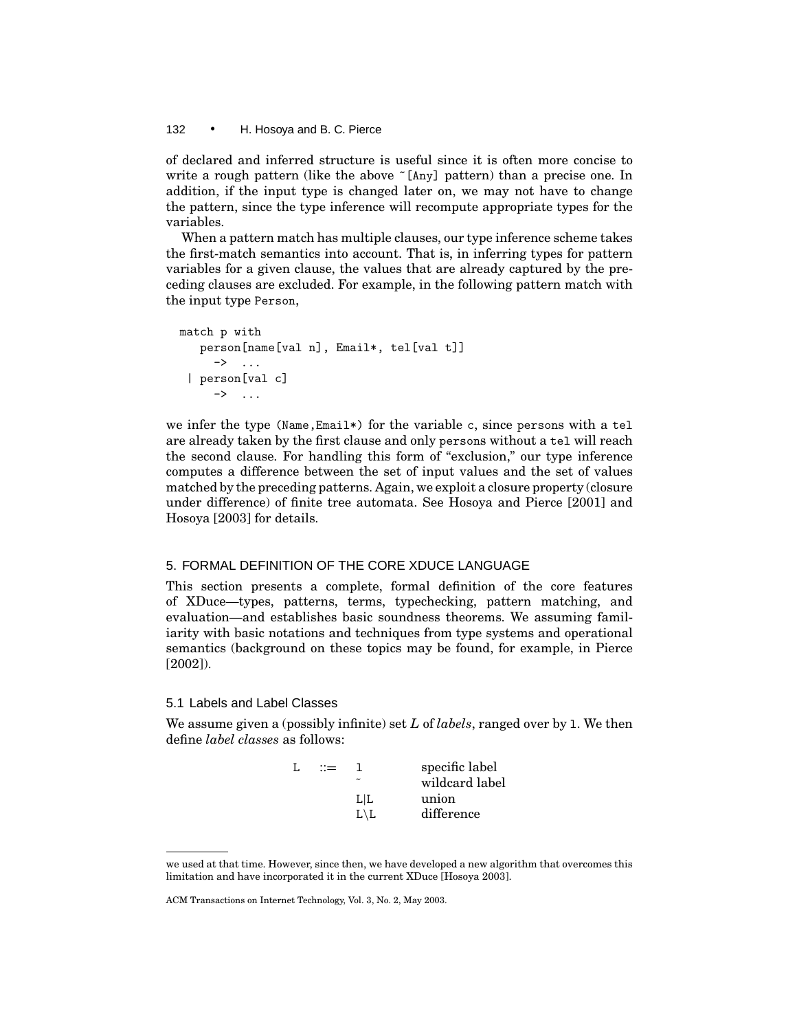of declared and inferred structure is useful since it is often more concise to write a rough pattern (like the above  $\tilde{\ }$  [Any] pattern) than a precise one. In addition, if the input type is changed later on, we may not have to change the pattern, since the type inference will recompute appropriate types for the variables.

When a pattern match has multiple clauses, our type inference scheme takes the first-match semantics into account. That is, in inferring types for pattern variables for a given clause, the values that are already captured by the preceding clauses are excluded. For example, in the following pattern match with the input type Person,

```
match p with
   person[name[val n], Email*, tel[val t]]
     \rightarrow ...
 | person[val c]
     -> ...
```
we infer the type (Name, Email\*) for the variable c, since persons with a tel are already taken by the first clause and only persons without a tel will reach the second clause. For handling this form of "exclusion," our type inference computes a difference between the set of input values and the set of values matched by the preceding patterns. Again, we exploit a closure property (closure under difference) of finite tree automata. See Hosoya and Pierce [2001] and Hosoya [2003] for details.

# 5. FORMAL DEFINITION OF THE CORE XDUCE LANGUAGE

This section presents a complete, formal definition of the core features of XDuce—types, patterns, terms, typechecking, pattern matching, and evaluation—and establishes basic soundness theorems. We assuming familiarity with basic notations and techniques from type systems and operational semantics (background on these topics may be found, for example, in Pierce [2002]).

## 5.1 Labels and Label Classes

We assume given a (possibly infinite) set *L* of *labels*, ranged over by l. We then define *label classes* as follows:

| L | $\mathbf{m}$ |                       | specific label |
|---|--------------|-----------------------|----------------|
|   |              | $\tilde{\phantom{a}}$ | wildcard label |
|   |              | LIL                   | union          |
|   |              | L/L                   | difference     |
|   |              |                       |                |

we used at that time. However, since then, we have developed a new algorithm that overcomes this limitation and have incorporated it in the current XDuce [Hosoya 2003].

ACM Transactions on Internet Technology, Vol. 3, No. 2, May 2003.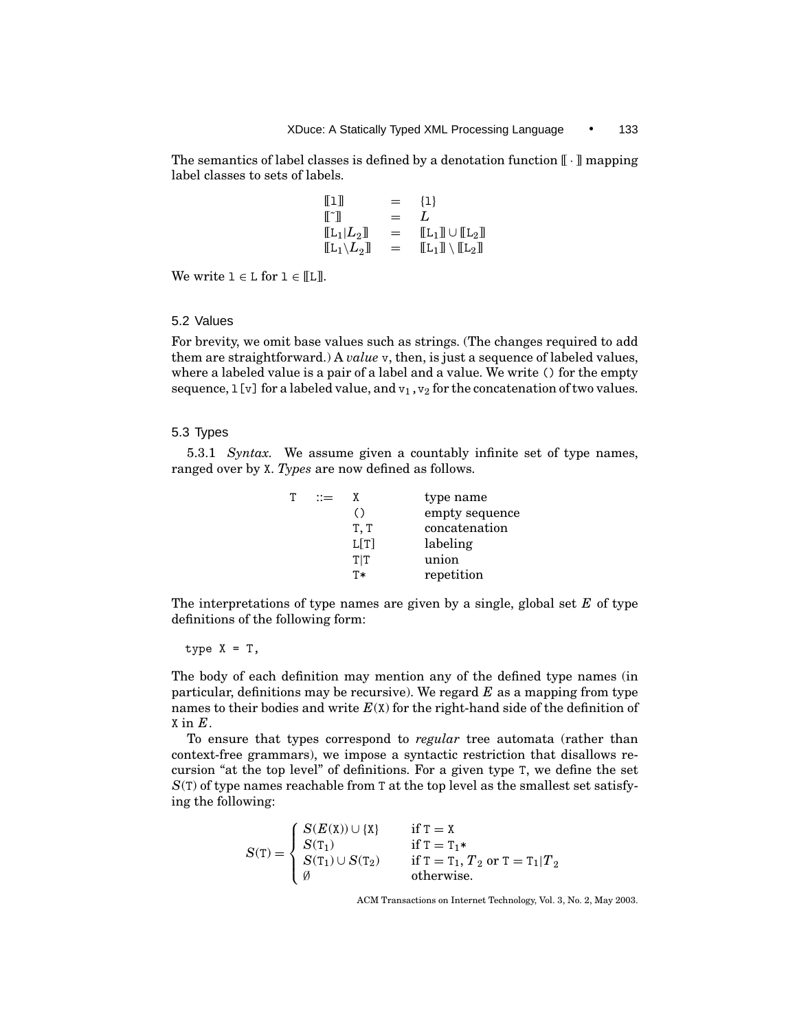The semantics of label classes is defined by a denotation function  $\lbrack \cdot \rbrack$  mapping label classes to sets of labels.

$$
\begin{array}{rcl}\n\llbracket 1 \rrbracket & = & \{1\} \\
\llbracket \ulcorner \rrbracket & = & L \\
\llbracket \mathbf{L}_1 | L_2 \rrbracket & = & \llbracket \mathbf{L}_1 \rrbracket \cup \llbracket \mathbf{L}_2 \rrbracket \\
\llbracket \mathbf{L}_1 \backslash L_2 \rrbracket & = & \llbracket \mathbf{L}_1 \rrbracket \setminus \llbracket \mathbf{L}_2 \rrbracket\n\end{array}
$$

We write  $1 \in L$  for  $1 \in [L]$ .

# 5.2 Values

For brevity, we omit base values such as strings. (The changes required to add them are straightforward.) A *value* v, then, is just a sequence of labeled values, where a labeled value is a pair of a label and a value. We write () for the empty sequence,  $1[v]$  for a labeled value, and  $v_1,v_2$  for the concatenation of two values.

## 5.3 Types

5.3.1 *Syntax.* We assume given a countably infinite set of type names, ranged over by X. *Types* are now defined as follows.

| $::=$ |                 | type name      |
|-------|-----------------|----------------|
|       | $\left(\right)$ | empty sequence |
|       | T, T            | concatenation  |
|       | L[T]            | labeling       |
|       | T T             | union          |
|       | T*              | repetition     |
|       |                 |                |

The interpretations of type names are given by a single, global set *E* of type definitions of the following form:

type X = T,

The body of each definition may mention any of the defined type names (in particular, definitions may be recursive). We regard *E* as a mapping from type names to their bodies and write *E*(X) for the right-hand side of the definition of X in *E*.

To ensure that types correspond to *regular* tree automata (rather than context-free grammars), we impose a syntactic restriction that disallows recursion "at the top level" of definitions. For a given type T, we define the set *S*(T) of type names reachable from T at the top level as the smallest set satisfying the following:

> $S(T) =$  $\sqrt{ }$  $\int$  $\overline{\mathcal{L}}$  $S(E(X)) \cup \{X\}$  if T = X  $S(T_1)$  if  $T = T_1*$  $S(T_1) \cup S(T_2)$  if  $T = T_1, T_2$  or  $T = T_1|T_2$ ∅ otherwise.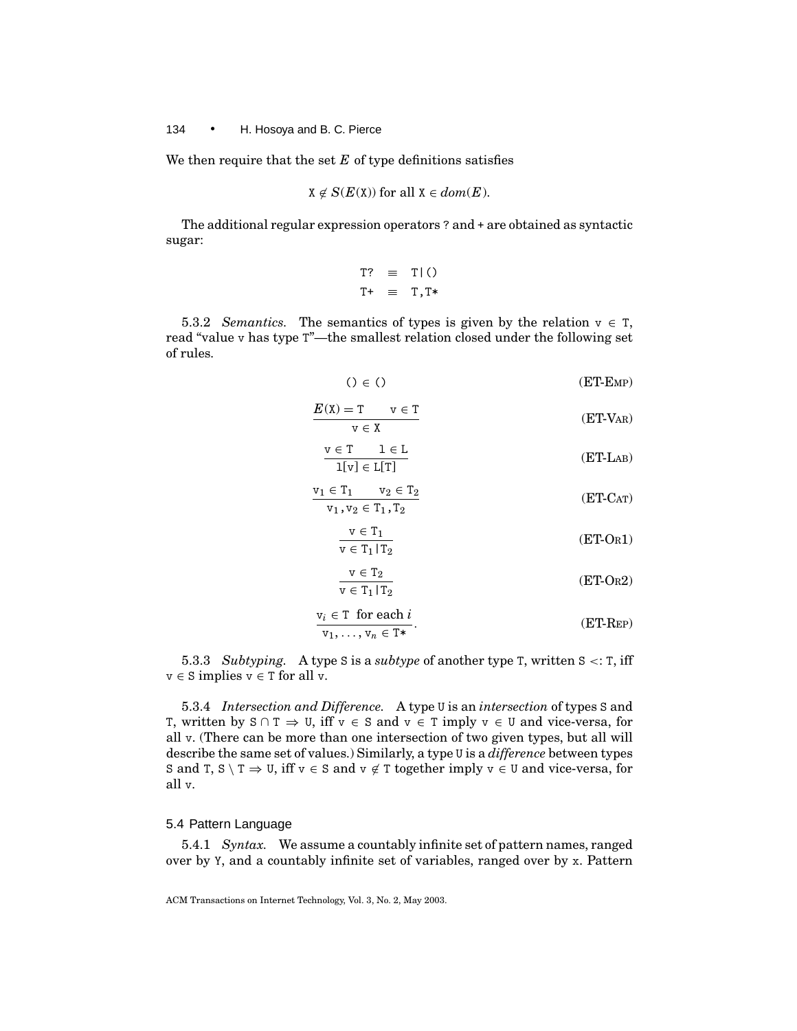We then require that the set  $E$  of type definitions satisfies

$$
X \notin S(E(X)) \text{ for all } X \in dom(E).
$$

The additional regular expression operators ? and + are obtained as syntactic sugar:

$$
T? \equiv T | ()
$$
  

$$
T+ \equiv T, T*
$$

5.3.2 *Semantics.* The semantics of types is given by the relation  $v \in T$ , read "value v has type T"—the smallest relation closed under the following set of rules.

$$
(\mathbf{C}) \in (\mathbf{C}) \tag{ET-Emp}
$$

$$
E(X) = T \t v \in T
$$
  

$$
v \in X
$$
 (ET-VAR)

$$
\frac{v \in T \qquad 1 \in L}{\mathbf{1}[v] \in L[T]} \tag{ET-LAB}
$$

$$
\begin{array}{cc}\n\mathbf{v}_1 \in \mathbf{T}_1 & \mathbf{v}_2 \in \mathbf{T}_2 \\
\mathbf{v}_1, \mathbf{v}_2 \in \mathbf{T}_1, \mathbf{T}_2\n\end{array} \tag{ET-Car}
$$

$$
\frac{v\in T_1}{v\in T_1\,|\,T_2} \qquad \qquad (ET\text{-}Or1)
$$

$$
\frac{v\in T_2}{v\in T_1\,|\,T_2} \qquad \qquad (ET\text{-}OR2)
$$

$$
\frac{v_i \in T \text{ for each } i}{v_1, \dots, v_n \in T^*}.
$$
 (ET-Rep)

5.3.3 *Subtyping.* A type S is a *subtype* of another type T, written S <: T, iff  $v \in S$  implies  $v \in T$  for all v.

5.3.4 *Intersection and Difference.* A type U is an *intersection* of types S and T, written by  $S \cap T \Rightarrow U$ , iff  $v \in S$  and  $v \in T$  imply  $v \in U$  and vice-versa, for all v. (There can be more than one intersection of two given types, but all will describe the same set of values.) Similarly, a type U is a *difference* between types S and T,  $S \setminus T \Rightarrow U$ , iff  $v \in S$  and  $v \notin T$  together imply  $v \in U$  and vice-versa, for all v.

## 5.4 Pattern Language

5.4.1 *Syntax.* We assume a countably infinite set of pattern names, ranged over by Y, and a countably infinite set of variables, ranged over by x. Pattern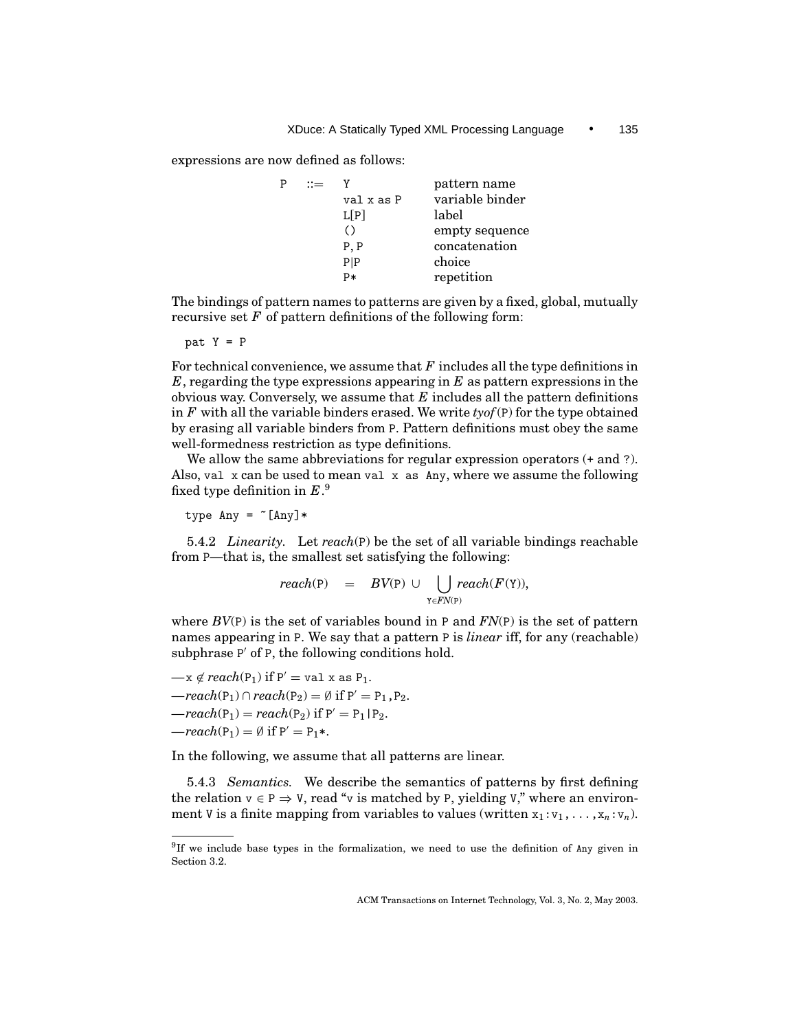expressions are now defined as follows:

| P | $\mathbf{m}$ |                 | pattern name    |
|---|--------------|-----------------|-----------------|
|   |              | val x as P      | variable binder |
|   |              | L[P]            | label           |
|   |              | $\left(\right)$ | empty sequence  |
|   |              | P, P            | concatenation   |
|   |              | P P             | choice          |
|   |              | P*              | repetition      |

The bindings of pattern names to patterns are given by a fixed, global, mutually recursive set *F* of pattern definitions of the following form:

pat  $Y = P$ 

For technical convenience, we assume that *F* includes all the type definitions in *E*, regarding the type expressions appearing in *E* as pattern expressions in the obvious way. Conversely, we assume that *E* includes all the pattern definitions in  $F$  with all the variable binders erased. We write  $\mathit{tvof}(P)$  for the type obtained by erasing all variable binders from P. Pattern definitions must obey the same well-formedness restriction as type definitions.

We allow the same abbreviations for regular expression operators  $(+)$  and ?). Also, val  $x$  can be used to mean val  $x$  as Any, where we assume the following fixed type definition in *E*. 9

type Any =  $\tilde{f}$ [Any]\*

5.4.2 *Linearity.* Let *reach*(P) be the set of all variable bindings reachable from P—that is, the smallest set satisfying the following:

$$
\operatorname{\textit{reach}}(P) \quad = \quad BV(P) \ \cup \ \bigcup_{Y \in \operatorname{\textit{F}}N(P)} \operatorname{\textit{reach}}(F(Y)),
$$

where *BV*(P) is the set of variables bound in P and *FN*(P) is the set of pattern names appearing in P. We say that a pattern P is *linear* iff, for any (reachable) subphrase  $P'$  of P, the following conditions hold.

 $-\mathbf{x} \notin reach(\mathbf{P}_1)$  if  $\mathbf{P}' = \mathbf{val} \times \mathbf{as} \mathbf{P}_1$ .  *if*  $P' = P<sub>1</sub>, P<sub>2</sub>.$  $$  *if*  $P' = P<sub>1</sub>$ *\*.* 

In the following, we assume that all patterns are linear.

5.4.3 *Semantics.* We describe the semantics of patterns by first defining the relation  $v \in P \Rightarrow V$ , read "v is matched by P, yielding V," where an environment V is a finite mapping from variables to values (written  $x_1: v_1, \ldots, x_n: v_n$ ).

 $91f$  we include base types in the formalization, we need to use the definition of Any given in Section 3.2.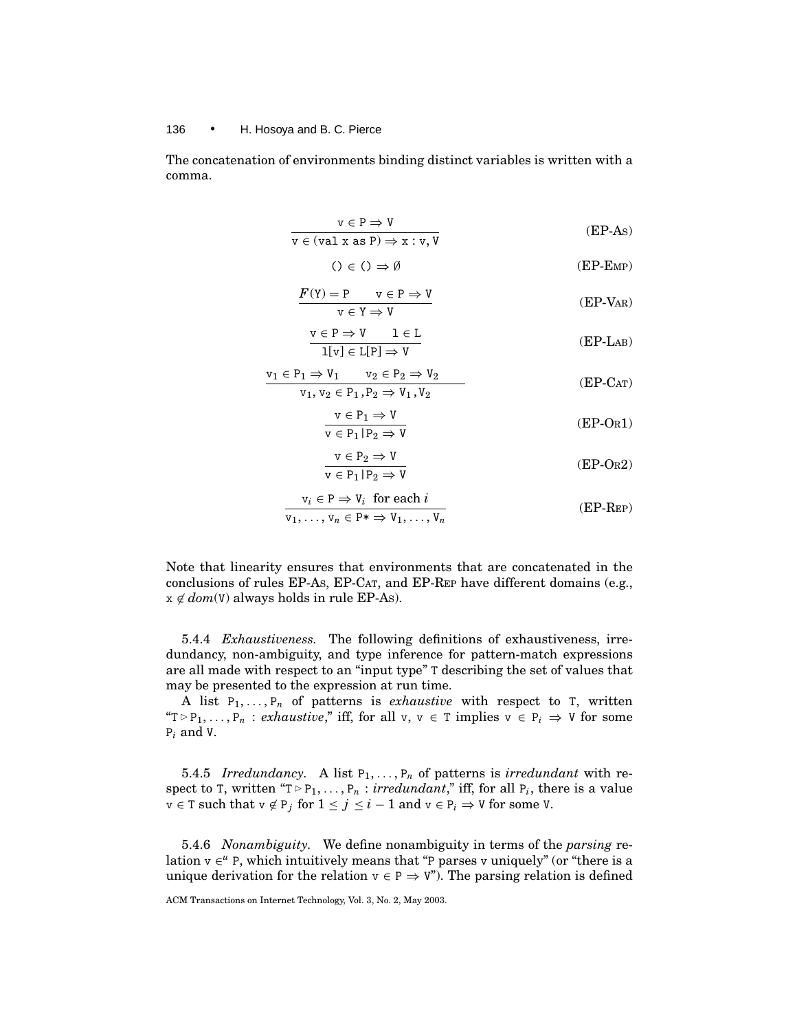The concatenation of environments binding distinct variables is written with a comma.

$$
v \in P \Rightarrow V
$$
  

$$
v \in (val x as P) \Rightarrow x : v, V
$$
 (EP-As)

$$
() \in () \Rightarrow \emptyset \tag{EP-Emp}
$$

$$
\frac{F(\mathbf{Y}) = \mathbf{P} \qquad \mathbf{v} \in \mathbf{P} \Rightarrow \mathbf{V}}{\mathbf{v} \in \mathbf{Y} \Rightarrow \mathbf{V}}
$$
 (EP-VAR)

$$
\frac{v \in P \Rightarrow V \qquad 1 \in L}{\mathbf{1}[v] \in L[P] \Rightarrow V} \tag{EP-LAB}
$$

$$
\frac{v_1 \in P_1 \Rightarrow V_1 \qquad v_2 \in P_2 \Rightarrow V_2}{v_1, v_2 \in P_1, P_2 \Rightarrow V_1, V_2}
$$
 (EP-CAT)

$$
\frac{v \in P_1 \Rightarrow V}{v \in P_1 \mid P_2 \Rightarrow V}
$$
 (EP-Or1)

$$
\frac{v \in P_2 \Rightarrow V}{v \in P_1 | P_2 \Rightarrow V}
$$
 (EP-OR2)

$$
v_i \in P \Rightarrow V_i \text{ for each } i
$$
  

$$
v_1, \dots, v_n \in P^* \Rightarrow V_1, \dots, V_n
$$
 (EP-Rep)

Note that linearity ensures that environments that are concatenated in the conclusions of rules EP-AS, EP-CAT, and EP-REP have different domains (e.g.,  $x \notin dom(V)$  always holds in rule EP-As).

5.4.4 *Exhaustiveness.* The following definitions of exhaustiveness, irredundancy, non-ambiguity, and type inference for pattern-match expressions are all made with respect to an "input type" T describing the set of values that may be presented to the expression at run time.

A list  $P_1, \ldots, P_n$  of patterns is *exhaustive* with respect to T, written " $T \triangleright P_1, \ldots, P_n$ : *exhaustive*," iff, for all v,  $v \in T$  implies  $v \in P_i \Rightarrow V$  for some P*<sup>i</sup>* and V.

5.4.5 *Irredundancy*. A list  $P_1, \ldots, P_n$  of patterns is *irredundant* with respect to T, written " $T \triangleright P_1, \ldots, P_n$ : *irredundant*," iff, for all  $P_i$ , there is a value  $v \in T$  such that  $v \notin P_j$  for  $1 \leq j \leq i - 1$  and  $v \in P_i$  ⇒ V for some V.

5.4.6 *Nonambiguity.* We define nonambiguity in terms of the *parsing* relation  $v \in U$ <sup>*u*</sup> P, which intuitively means that "P parses v uniquely" (or "there is a unique derivation for the relation  $v \in P \Rightarrow V$ "). The parsing relation is defined

ACM Transactions on Internet Technology, Vol. 3, No. 2, May 2003.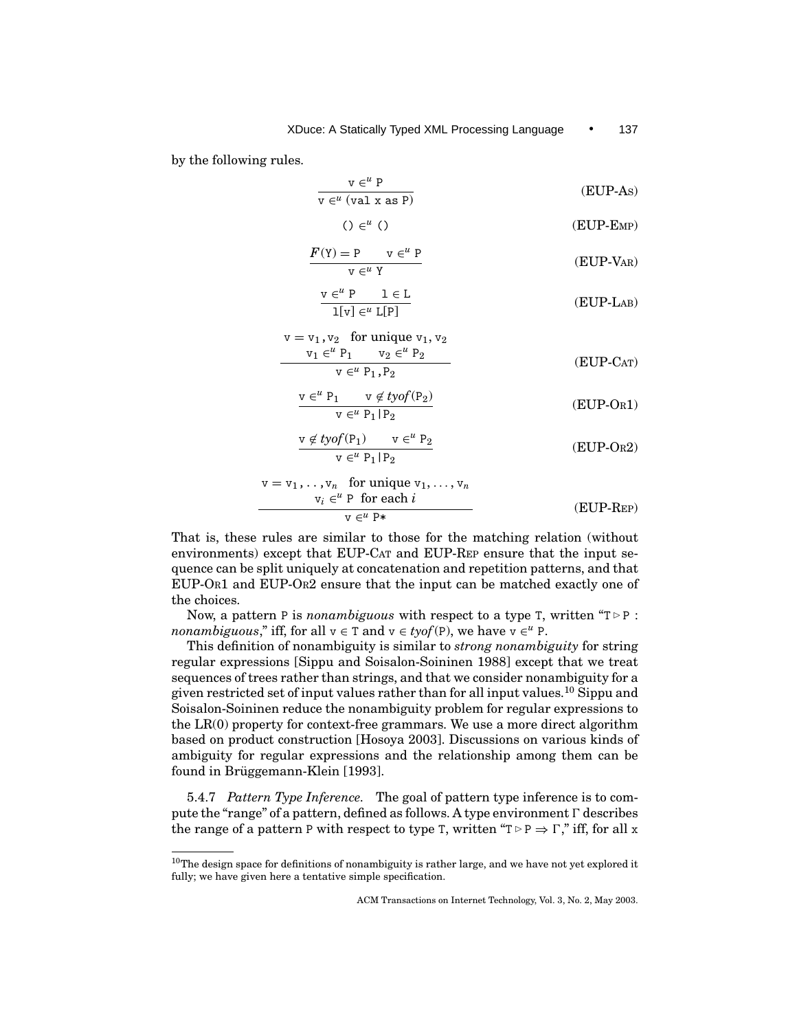by the following rules.

$$
\begin{array}{c}\n\mathbf{v} \in^u \mathbf{P} \\
\hline\n\mathbf{v} \in^u (\mathbf{val} \times \mathbf{as} \mathbf{P})\n\end{array} \n\tag{EUP-As}
$$

$$
(\text{EUP-Emp})
$$
 (EUP-Emp)

$$
\frac{F(Y) = P \quad v \in^u P}{v \in^u Y}
$$
 (EUP-VAR)

$$
\frac{v \in^u P \quad 1 \in L}{\mathbf{1}[v] \in^u \mathbf{L}[P]} \tag{EUP-LAB}
$$

$$
v = v_1, v_2 \text{ for unique } v_1, v_2
$$
  
\n
$$
v_1 \in^u P_1 \qquad v_2 \in^u P_2
$$
  
\n
$$
v \in^u P_1, P_2
$$
  
\n(EUP-CAT)

$$
\frac{v \in u \ P_1 \qquad v \notin \text{tyof}(\mathbb{P}_2)}{v \in u \ P_1 | \mathbb{P}_2}
$$
\n(EUP-Or1)

$$
\frac{v \notin \text{tyof}(P_1) \qquad v \in^u P_2}{v \in^u P_1 | P_2}
$$
 (EUP-OR2)

$$
\mathbf{v} = \mathbf{v}_1, \dots, \mathbf{v}_n \quad \text{for unique } \mathbf{v}_1, \dots, \mathbf{v}_n
$$
\n
$$
\mathbf{v}_i \in^u \mathbf{P} \quad \text{for each } i
$$
\n
$$
\mathbf{v} \in^u \mathbf{P}^*
$$
\n(EUP-Rep)

That is, these rules are similar to those for the matching relation (without environments) except that EUP-CAT and EUP-REP ensure that the input sequence can be split uniquely at concatenation and repetition patterns, and that EUP-OR1 and EUP-OR2 ensure that the input can be matched exactly one of the choices.

Now, a pattern P is *nonambiguous* with respect to a type T, written " $T \triangleright P$  : *nonambiguous*," iff, for all  $v \in T$  and  $v \in *tyof*(P)$ , we have  $v \in <sup>u</sup>$  P.

This definition of nonambiguity is similar to *strong nonambiguity* for string regular expressions [Sippu and Soisalon-Soininen 1988] except that we treat sequences of trees rather than strings, and that we consider nonambiguity for a given restricted set of input values rather than for all input values.<sup>10</sup> Sippu and Soisalon-Soininen reduce the nonambiguity problem for regular expressions to the LR(0) property for context-free grammars. We use a more direct algorithm based on product construction [Hosoya 2003]. Discussions on various kinds of ambiguity for regular expressions and the relationship among them can be found in Brüggemann-Klein [1993].

5.4.7 *Pattern Type Inference.* The goal of pattern type inference is to compute the "range" of a pattern, defined as follows. A type environment  $\Gamma$  describes the range of a pattern P with respect to type T, written " $T \triangleright P \Rightarrow \Gamma$ ," iff, for all x

 $10$ The design space for definitions of nonambiguity is rather large, and we have not yet explored it fully; we have given here a tentative simple specification.

ACM Transactions on Internet Technology, Vol. 3, No. 2, May 2003.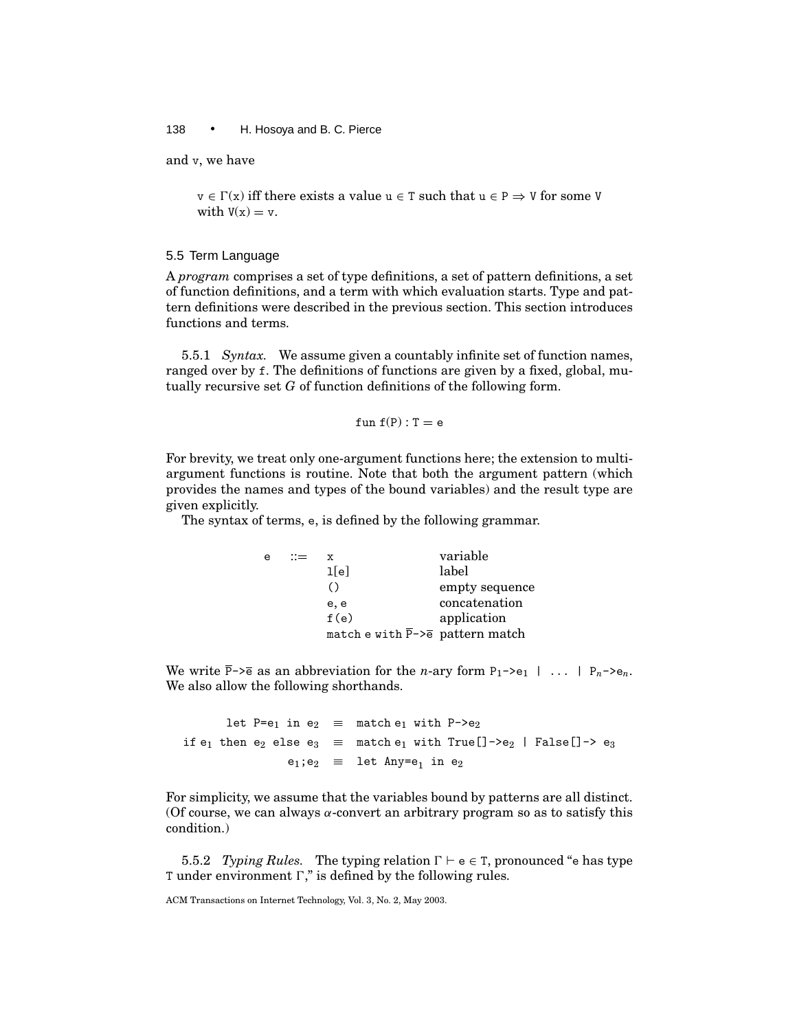and v, we have

 $v \in \Gamma(x)$  iff there exists a value  $u \in T$  such that  $u \in P \Rightarrow V$  for some V with  $V(x) = v$ .

# 5.5 Term Language

A *program* comprises a set of type definitions, a set of pattern definitions, a set of function definitions, and a term with which evaluation starts. Type and pattern definitions were described in the previous section. This section introduces functions and terms.

5.5.1 *Syntax.* We assume given a countably infinite set of function names, ranged over by f. The definitions of functions are given by a fixed, global, mutually recursive set *G* of function definitions of the following form.

$$
\verb|funf(P):T=e\\
$$

For brevity, we treat only one-argument functions here; the extension to multiargument functions is routine. Note that both the argument pattern (which provides the names and types of the bound variables) and the result type are given explicitly.

The syntax of terms, e, is defined by the following grammar.

| e | ∷≕ | x                                                           | variable       |
|---|----|-------------------------------------------------------------|----------------|
|   |    | 1[e]                                                        | label          |
|   |    | $\bigcap$                                                   | empty sequence |
|   |    | e, e                                                        | concatenation  |
|   |    | f(e)                                                        | application    |
|   |    | match e with $\overline{P}$ -> $\overline{e}$ pattern match |                |

We write  $\bar{P}$ -> $\bar{e}$  as an abbreviation for the *n*-ary form  $P_1$ -> $e_1$  | ... |  $P_n$ -> $e_n$ . We also allow the following shorthands.

let P= $e_1$  in  $e_2 \equiv$  match  $e_1$  with P- $\geq e_2$ if  $e_1$  then  $e_2$  else  $e_3 \equiv$  match  $e_1$  with True[]-> $e_2$  | False[]-> $e_3$  $e_1$ ; $e_2 \equiv$  let Any= $e_1$  in  $e_2$ 

For simplicity, we assume that the variables bound by patterns are all distinct. (Of course, we can always α-convert an arbitrary program so as to satisfy this condition.)

5.5.2 *Typing Rules.* The typing relation  $\Gamma \vdash e \in \mathcal{T}$ , pronounced "e has type T under environment  $\Gamma$ ," is defined by the following rules.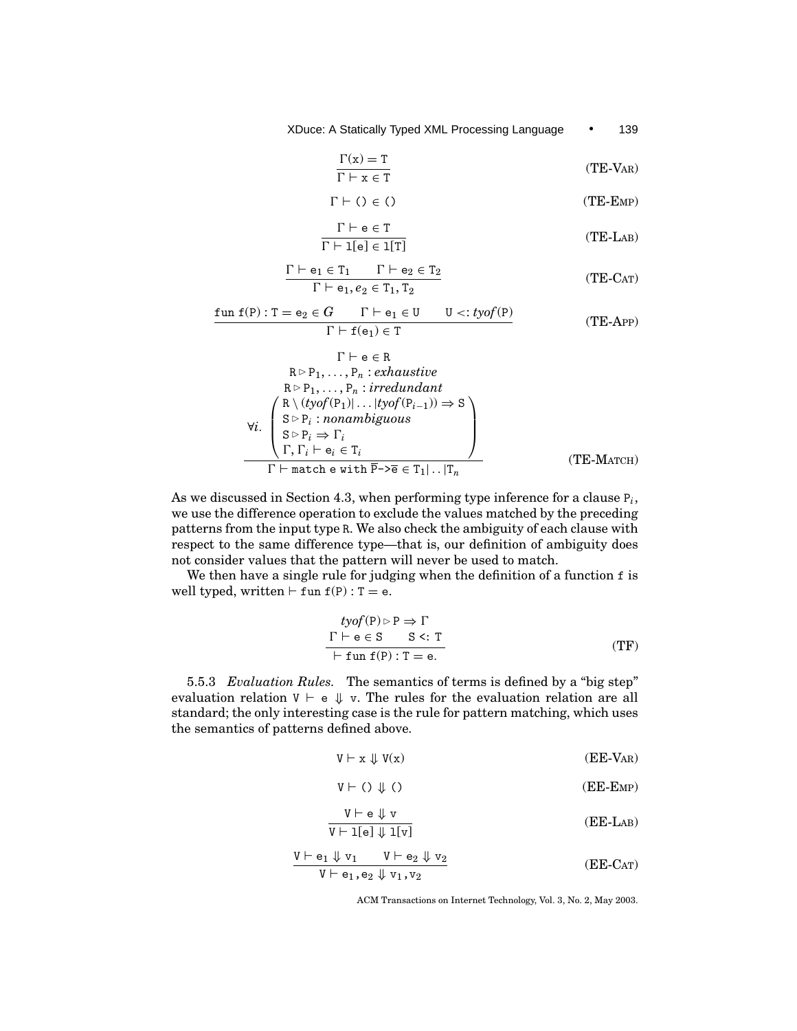XDuce: A Statically Typed XML Processing Language • 139

 $\Gamma(\mathtt{x}) = \mathtt{T}$  $\frac{1}{\Gamma \vdash x \in T}$  (TE-VAR)

$$
\Gamma \vdash () \in () \tag{TE-EMP}
$$

$$
\frac{\Gamma \vdash e \in T}{\Gamma \vdash \mathbf{1}[e] \in \mathbf{1}[T]} \tag{TE-LAB}
$$

$$
\frac{\Gamma \vdash e_1 \in T_1 \qquad \Gamma \vdash e_2 \in T_2}{\Gamma \vdash e_1, e_2 \in T_1, T_2}
$$
 (TE-CAT)

$$
\frac{\text{fun } f(P): T = e_2 \in G \qquad \Gamma \vdash e_1 \in U \qquad U <: \text{tyof}(P)}{\Gamma \vdash f(e_1) \in T} \tag{TE-APP}
$$

$$
\Gamma \vdash e \in R
$$
\n
$$
R \triangleright P_1, \ldots, P_n : exhaustive
$$
\n
$$
R \triangleright P_1, \ldots, P_n : irredundant
$$
\n
$$
\forall i. \begin{pmatrix} R \setminus (tyof(P_1)) \ldots |tyof(P_{i-1})) \Rightarrow S \\ S \triangleright P_i : nonambiguous \\ S \triangleright P_i \Rightarrow \Gamma_i \\ \Gamma, \Gamma_i \vdash e_i \in T_i \end{pmatrix}
$$
\n
$$
\Gamma \vdash \text{match } e \text{ with } \overline{P} \rightarrow \overline{e} \in T_1 | \ldots | T_n
$$
\n(TE-MATCH)

As we discussed in Section 4.3, when performing type inference for a clause  $P_i$ , we use the difference operation to exclude the values matched by the preceding patterns from the input type R. We also check the ambiguity of each clause with respect to the same difference type—that is, our definition of ambiguity does not consider values that the pattern will never be used to match.

We then have a single rule for judging when the definition of a function f is well typed, written  $\vdash$  fun  $f(P)$ : T = e.

$$
tyof(P) \triangleright P \Rightarrow \Gamma
$$
  
\n
$$
\Gamma \vdash e \in S \qquad S \le T
$$
  
\n
$$
\vdash \text{fun } f(P) : T = e.
$$
 (TF)

5.5.3 *Evaluation Rules.* The semantics of terms is defined by a "big step" evaluation relation  $V \vdash e \Downarrow v$ . The rules for the evaluation relation are all standard; the only interesting case is the rule for pattern matching, which uses the semantics of patterns defined above.

$$
V \vdash x \Downarrow V(x) \tag{EE-VAR}
$$

$$
V \vdash () \Downarrow () \tag{EE-Emp}
$$

$$
\frac{V \vdash e \Downarrow v}{V \vdash \bot[e] \Downarrow \bot[v]}
$$
 (EE-LAB)

$$
\frac{V \vdash e_1 \Downarrow v_1 \qquad V \vdash e_2 \Downarrow v_2}{V \vdash e_1, e_2 \Downarrow v_1, v_2}
$$
 (EE-CAT)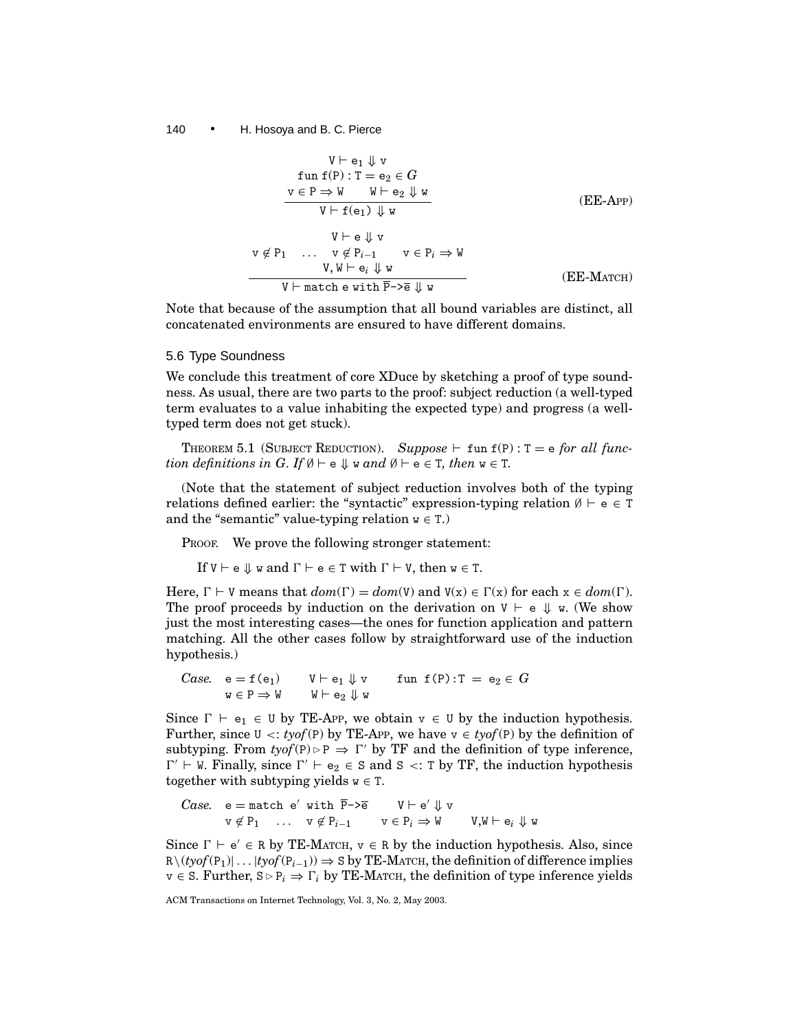$$
V \vdash e_1 \Downarrow v
$$
\n
$$
fun f(P) : T = e_2 \in G
$$
\n
$$
v \in P \Rightarrow W \qquad W \vdash e_2 \Downarrow w
$$
\n
$$
V \vdash f(e_1) \Downarrow w
$$
\n
$$
V \vdash e \Downarrow v
$$
\n
$$
v \notin P_1 \qquad \dots \qquad v \notin P_{i-1} \qquad v \in P_i \Rightarrow W
$$
\n
$$
V, W \vdash e_i \Downarrow w
$$
\n
$$
V \vdash \text{match} \text{ with } \overline{P} \rightarrow \overline{e} \Downarrow w
$$
\n
$$
(EE-MATCH)
$$

Note that because of the assumption that all bound variables are distinct, all concatenated environments are ensured to have different domains.

## 5.6 Type Soundness

We conclude this treatment of core XDuce by sketching a proof of type soundness. As usual, there are two parts to the proof: subject reduction (a well-typed term evaluates to a value inhabiting the expected type) and progress (a welltyped term does not get stuck).

THEOREM 5.1 (SUBJECT REDUCTION). Suppose  $\vdash$  fun  $f(P)$ : T = e *for all function definitions in G. If*  $\emptyset \vdash e \Downarrow$  w *and*  $\emptyset \vdash e \in T$ , *then*  $w \in T$ .

(Note that the statement of subject reduction involves both of the typing relations defined earlier: the "syntactic" expression-typing relation  $\varnothing \vdash e \in T$ and the "semantic" value-typing relation  $w \in T$ .)

PROOF. We prove the following stronger statement:

If  $V \vdash e \Downarrow w$  and  $\Gamma \vdash e \in T$  with  $\Gamma \vdash V$ , then  $w \in T$ .

Here,  $\Gamma \vdash V$  means that  $dom(\Gamma) = dom(V)$  and  $V(x) \in \Gamma(x)$  for each  $x \in dom(\Gamma)$ . The proof proceeds by induction on the derivation on  $V \vdash e \Downarrow w$ . (We show just the most interesting cases—the ones for function application and pattern matching. All the other cases follow by straightforward use of the induction hypothesis.)

Case. 
$$
e = f(e_1)
$$
  $V \vdash e_1 \Downarrow v$  fun  $f(P):T = e_2 \in G$   
 $w \in P \Rightarrow W$   $W \vdash e_2 \Downarrow w$ 

Since  $\Gamma \vdash e_1 \in U$  by TE-APP, we obtain  $v \in U$  by the induction hypothesis. Further, since  $U \leq t$ *yof* (P) by TE-APP, we have  $v \in t$ *yof* (P) by the definition of subtyping. From  $\text{type}(\mathbf{P}) \triangleright \mathbf{P} \Rightarrow \Gamma'$  by TF and the definition of type inference,  $\Gamma' \vdash W$ . Finally, since  $\Gamma' \vdash e_2 \in S$  and  $S \prec : T$  by TF, the induction hypothesis together with subtyping yields  $w \in T$ .

```
Case. e = \text{match} e' \text{ with } \overline{P} \rightarrow \overline{e} \qquad V \vdash e' \Downarrow vv \notin P_1 ... v \notin P_{i-1} v \in P_i \Rightarrow W V, W \vdash e_i \Downarrow w
```
Since  $\Gamma \vdash e' \in R$  by TE-MATCH,  $v \in R$  by the induction hypothesis. Also, since  $R\setminus (t\gamma of(P_1)|...|t\gamma of(P_{i-1})) \Rightarrow S$  by TE-MATCH, the definition of difference implies  $v \in S$ . Further,  $S \triangleright P_i \Rightarrow \Gamma_i$  by TE-MATCH, the definition of type inference yields

ACM Transactions on Internet Technology, Vol. 3, No. 2, May 2003.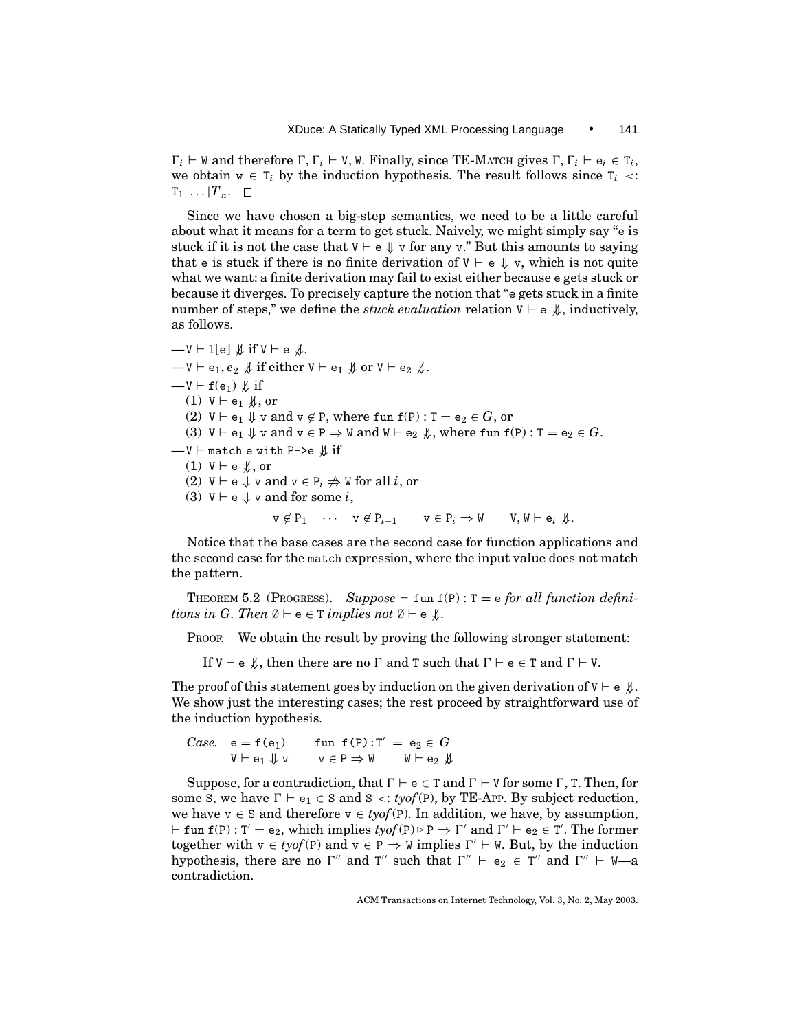$\Gamma_i \vdash$  W and therefore  $\Gamma, \Gamma_i \vdash$  V, W. Finally, since TE-MATCH gives  $\Gamma, \Gamma_i \vdash$   $e_i \in T_i$ , we obtain  $w \in T_i$  by the induction hypothesis. The result follows since  $T_i$  <:  $T_1 | \ldots | T_n. \square$ 

Since we have chosen a big-step semantics, we need to be a little careful about what it means for a term to get stuck. Naively, we might simply say "e is stuck if it is not the case that  $V \vdash e \Downarrow v$  for any v." But this amounts to saying that e is stuck if there is no finite derivation of  $V \vdash e \Downarrow v$ , which is not quite what we want: a finite derivation may fail to exist either because e gets stuck or because it diverges. To precisely capture the notion that "e gets stuck in a finite number of steps," we define the *stuck evaluation* relation  $V \vdash e \nparallel$ , inductively, as follows.

 $-V \vdash \mathbf{1}[\mathbf{e}] \not\Downarrow \text{ if } V \vdash \mathbf{e} \not\Downarrow.$  $-\mathsf{V} \vdash \mathsf{e}_1, e_2 \not\!\downarrow \text{ if either } \mathsf{V} \vdash \mathsf{e}_1 \not\!\downarrow \text{ or } \mathsf{V} \vdash \mathsf{e}_2 \not\!\downarrow.$  $-V \vdash f(e_1) \not\downarrow \text{if}$ (1)  $V \vdash e_1 \not\downarrow, or$ (2)  $V \vdash e_1 \Downarrow v$  and  $v \not\in P$ , where fun  $f(P) : T = e_2 \in G$ , or (3)  $V \vdash e_1 \Downarrow v$  and  $v \in P \Rightarrow W$  and  $W \vdash e_2 \Downarrow$ , where fun  $f(P) : T = e_2 \in G$ .  $-\mathsf{V} \vdash \mathtt{match}$  e with  $\overline{\mathsf{P}}$ ->e  $\mathsf{\not\downarrow}$  if (1)  $V \vdash e \not\downarrow$ , or (2)  $V \vdash e \Downarrow v$  and  $v \in P_i \nightharpoonup W$  for all *i*, or (3)  $V \vdash e \Downarrow v$  and for some *i*,  $v \notin P_1$  ···  $v \notin P_{i-1}$   $v \in P_i \Rightarrow W$   $V, W \vdash e_i \not\downarrow.$ 

Notice that the base cases are the second case for function applications and the second case for the match expression, where the input value does not match the pattern.

THEOREM 5.2 (PROGRESS). Suppose  $\vdash$  fun  $f(P)$ : T = e *for all function definitions in G. Then*  $\emptyset \vdash e \in T$  *implies not*  $\emptyset \vdash e \Downarrow$ .

PROOF. We obtain the result by proving the following stronger statement:

If  $V \vdash e \nparallel$ , then there are no  $\Gamma$  and  $\Gamma$  such that  $\Gamma \vdash e \in \Gamma$  and  $\Gamma \vdash V$ .

The proof of this statement goes by induction on the given derivation of  $V \vdash e \nparallel$ . We show just the interesting cases; the rest proceed by straightforward use of the induction hypothesis.

Case. 
$$
e = f(e_1)
$$
 fun  $f(P):T' = e_2 \in G$   
\n $V \vdash e_1 \Downarrow v$   $v \in P \Rightarrow W$   $W \vdash e_2 \Downarrow$ 

Suppose, for a contradiction, that  $\Gamma \vdash e \in \text{T}$  and  $\Gamma \vdash V$  for some  $\Gamma$ , T. Then, for some S, we have  $\Gamma \vdash e_1 \in S$  and  $S \prec : t \circ f(P)$ , by TE-APP. By subject reduction, we have  $v \in S$  and therefore  $v \in \textit{tyof}(P)$ . In addition, we have, by assumption,  $\vdash$  fun f(P) : T' = e<sub>2</sub>, which implies *tyof* (P)  $\triangleright$  P  $\Rightarrow$   $\Gamma'$  and  $\Gamma' \vdash$  e<sub>2</sub>  $\in$  T'. The former together with  $v \in *tyof*(P)$  and  $v \in P \Rightarrow W$  implies  $\Gamma' \vdash W$ . But, by the induction hypothesis, there are no  $\Gamma''$  and  $T''$  such that  $\Gamma''$  + e<sub>2</sub>  $\in T''$  and  $\Gamma''$  + W—a contradiction.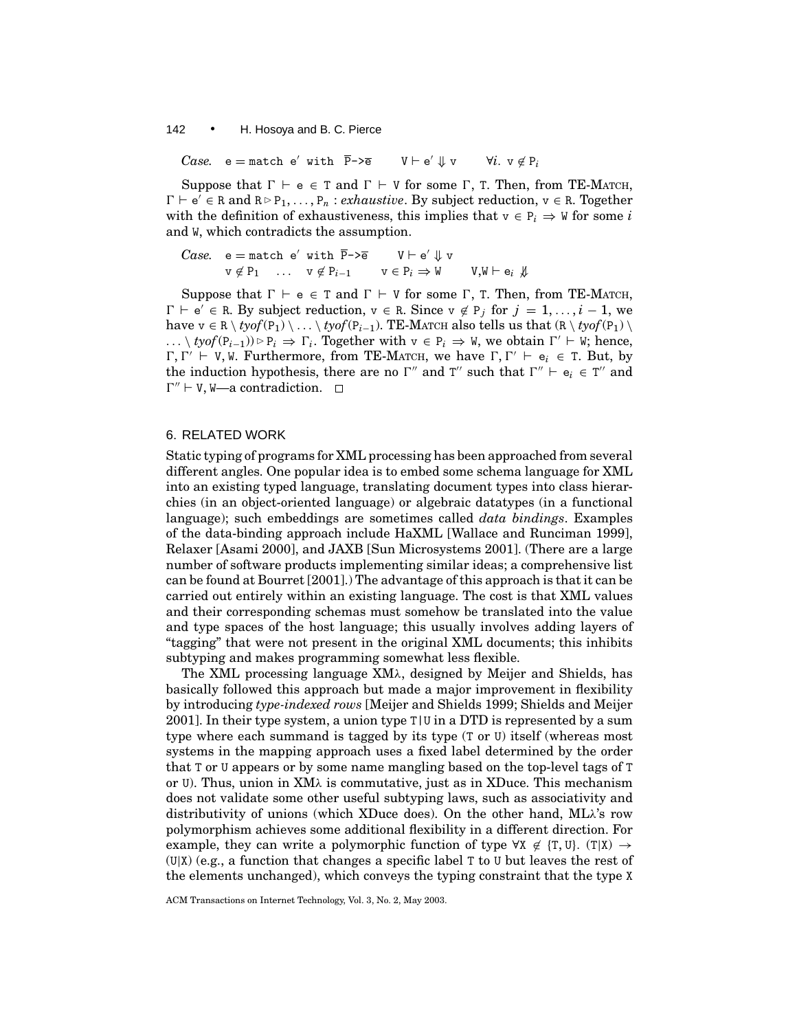*Case.* e = match e' with  $\overline{P}$ ->e  $V \vdash e' \Downarrow v$   $\forall i. v \notin P_i$ 

Suppose that  $\Gamma \vdash e \in \texttt{T}$  and  $\Gamma \vdash V$  for some  $\Gamma$ , T. Then, from TE-MATCH,  $\Gamma \vdash e' \in R$  and  $R \triangleright P_1, \ldots, P_n$  : *exhaustive*. By subject reduction,  $v \in R$ . Together with the definition of exhaustiveness, this implies that  $v \in P_i \Rightarrow W$  for some *i* and W, which contradicts the assumption.

Case. 
$$
e = \text{match } e'
$$
 with  $\overline{P} \rightarrow \overline{e}$   $V \vdash e' \Downarrow v$   
\n $v \notin P_1 \quad \dots \quad v \notin P_{i-1} \quad v \in P_i \Rightarrow W \quad V, W \vdash e_i \Downarrow$ 

Suppose that  $\Gamma \vdash e \in \texttt{T}$  and  $\Gamma \vdash V$  for some  $\Gamma$ , T. Then, from TE-MATCH,  $\Gamma \vdash e' \in R$ . By subject reduction,  $v \in R$ . Since  $v \notin P_j$  for  $j = 1, \ldots, i - 1$ , we have  $v \in R \setminus \{t\}$   $\setminus \ldots \setminus \{t\}$  (P<sub>i-1</sub>). TE-MATCH also tells us that  $(R \setminus \{t\}$   $\setminus \{t\}$ ... \ *tyof* ( $P_{i-1}$ )) ⊳  $P_i$   $\Rightarrow$   $\Gamma_i$ . Together with  $v \in P_i$   $\Rightarrow$  W, we obtain  $\Gamma' \vdash W$ ; hence,  $\Gamma, \Gamma' \vdash V, \mathbb{W}$ . Furthermore, from TE-MATCH, we have  $\Gamma, \Gamma' \vdash e_i \in T$ . But, by the induction hypothesis, there are no  $\Gamma''$  and  $T''$  such that  $\Gamma'' \vdash e_i \in T''$  and  $\Gamma'' \vdash V$ , W—a contradiction.  $\Box$ 

# 6. RELATED WORK

Static typing of programs for XML processing has been approached from several different angles. One popular idea is to embed some schema language for XML into an existing typed language, translating document types into class hierarchies (in an object-oriented language) or algebraic datatypes (in a functional language); such embeddings are sometimes called *data bindings*. Examples of the data-binding approach include HaXML [Wallace and Runciman 1999], Relaxer [Asami 2000], and JAXB [Sun Microsystems 2001]. (There are a large number of software products implementing similar ideas; a comprehensive list can be found at Bourret [2001].) The advantage of this approach is that it can be carried out entirely within an existing language. The cost is that XML values and their corresponding schemas must somehow be translated into the value and type spaces of the host language; this usually involves adding layers of "tagging" that were not present in the original XML documents; this inhibits subtyping and makes programming somewhat less flexible.

The XML processing language XMλ, designed by Meijer and Shields, has basically followed this approach but made a major improvement in flexibility by introducing *type-indexed rows* [Meijer and Shields 1999; Shields and Meijer 2001]. In their type system, a union type  $T|U$  in a DTD is represented by a sum type where each summand is tagged by its type (T or U) itself (whereas most systems in the mapping approach uses a fixed label determined by the order that T or U appears or by some name mangling based on the top-level tags of T or U). Thus, union in  $X\mathbb{M}\lambda$  is commutative, just as in XDuce. This mechanism does not validate some other useful subtyping laws, such as associativity and distributivity of unions (which XDuce does). On the other hand,  $ML\lambda$ 's row polymorphism achieves some additional flexibility in a different direction. For example, they can write a polymorphic function of type  $\forall X \notin \{T, U\}$ .  $(T|X) \rightarrow$  $(U|X)$  (e.g., a function that changes a specific label T to U but leaves the rest of the elements unchanged), which conveys the typing constraint that the type X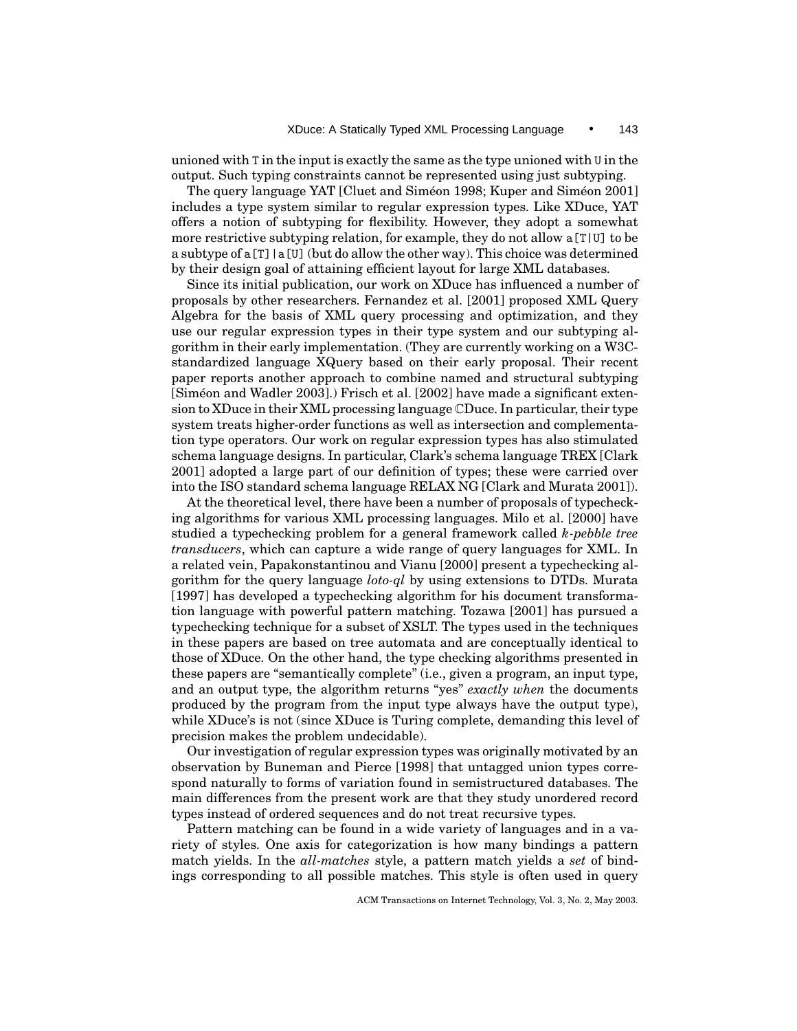unioned with T in the input is exactly the same as the type unioned with U in the output. Such typing constraints cannot be represented using just subtyping.

The query language YAT [Cluet and Simeon 1998; Kuper and Simeon 2001] includes a type system similar to regular expression types. Like XDuce, YAT offers a notion of subtyping for flexibility. However, they adopt a somewhat more restrictive subtyping relation, for example, they do not allow a[T|U] to be a subtype of a  $[T] |a[U]$  (but do allow the other way). This choice was determined by their design goal of attaining efficient layout for large XML databases.

Since its initial publication, our work on XDuce has influenced a number of proposals by other researchers. Fernandez et al. [2001] proposed XML Query Algebra for the basis of XML query processing and optimization, and they use our regular expression types in their type system and our subtyping algorithm in their early implementation. (They are currently working on a W3Cstandardized language XQuery based on their early proposal. Their recent paper reports another approach to combine named and structural subtyping [Siméon and Wadler 2003].) Frisch et al. [2002] have made a significant extension to XDuce in their XML processing language CDuce. In particular, their type system treats higher-order functions as well as intersection and complementation type operators. Our work on regular expression types has also stimulated schema language designs. In particular, Clark's schema language TREX [Clark 2001] adopted a large part of our definition of types; these were carried over into the ISO standard schema language RELAX NG [Clark and Murata 2001]).

At the theoretical level, there have been a number of proposals of typechecking algorithms for various XML processing languages. Milo et al. [2000] have studied a typechecking problem for a general framework called *k-pebble tree transducers*, which can capture a wide range of query languages for XML. In a related vein, Papakonstantinou and Vianu [2000] present a typechecking algorithm for the query language *loto-ql* by using extensions to DTDs. Murata [1997] has developed a typechecking algorithm for his document transformation language with powerful pattern matching. Tozawa [2001] has pursued a typechecking technique for a subset of XSLT. The types used in the techniques in these papers are based on tree automata and are conceptually identical to those of XDuce. On the other hand, the type checking algorithms presented in these papers are "semantically complete" (i.e., given a program, an input type, and an output type, the algorithm returns "yes" *exactly when* the documents produced by the program from the input type always have the output type), while XDuce's is not (since XDuce is Turing complete, demanding this level of precision makes the problem undecidable).

Our investigation of regular expression types was originally motivated by an observation by Buneman and Pierce [1998] that untagged union types correspond naturally to forms of variation found in semistructured databases. The main differences from the present work are that they study unordered record types instead of ordered sequences and do not treat recursive types.

Pattern matching can be found in a wide variety of languages and in a variety of styles. One axis for categorization is how many bindings a pattern match yields. In the *all-matches* style, a pattern match yields a *set* of bindings corresponding to all possible matches. This style is often used in query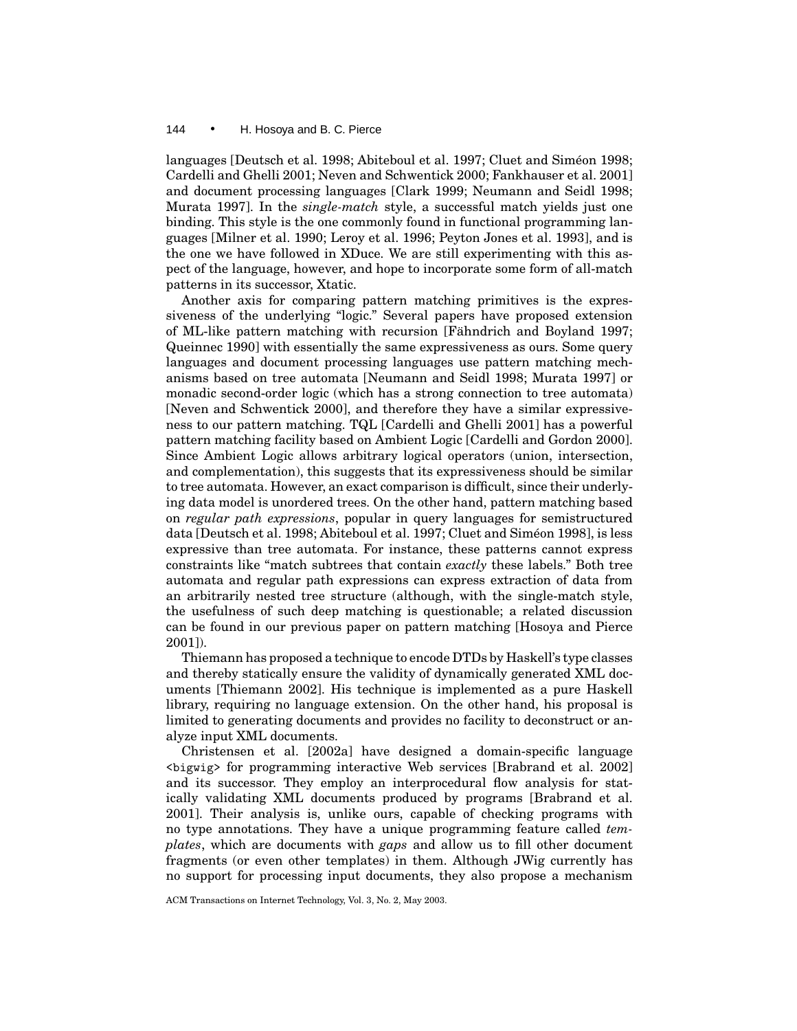languages [Deutsch et al. 1998; Abiteboul et al. 1997; Cluet and Simeon 1998; Cardelli and Ghelli 2001; Neven and Schwentick 2000; Fankhauser et al. 2001] and document processing languages [Clark 1999; Neumann and Seidl 1998; Murata 1997]. In the *single-match* style, a successful match yields just one binding. This style is the one commonly found in functional programming languages [Milner et al. 1990; Leroy et al. 1996; Peyton Jones et al. 1993], and is the one we have followed in XDuce. We are still experimenting with this aspect of the language, however, and hope to incorporate some form of all-match patterns in its successor, Xtatic.

Another axis for comparing pattern matching primitives is the expressiveness of the underlying "logic." Several papers have proposed extension of ML-like pattern matching with recursion  $[F\ddot{a}h]$  and Boyland 1997; Queinnec 1990] with essentially the same expressiveness as ours. Some query languages and document processing languages use pattern matching mechanisms based on tree automata [Neumann and Seidl 1998; Murata 1997] or monadic second-order logic (which has a strong connection to tree automata) [Neven and Schwentick 2000], and therefore they have a similar expressiveness to our pattern matching. TQL [Cardelli and Ghelli 2001] has a powerful pattern matching facility based on Ambient Logic [Cardelli and Gordon 2000]. Since Ambient Logic allows arbitrary logical operators (union, intersection, and complementation), this suggests that its expressiveness should be similar to tree automata. However, an exact comparison is difficult, since their underlying data model is unordered trees. On the other hand, pattern matching based on *regular path expressions*, popular in query languages for semistructured data [Deutsch et al. 1998; Abiteboul et al. 1997; Cluet and Simeon 1998], is less ´ expressive than tree automata. For instance, these patterns cannot express constraints like "match subtrees that contain *exactly* these labels." Both tree automata and regular path expressions can express extraction of data from an arbitrarily nested tree structure (although, with the single-match style, the usefulness of such deep matching is questionable; a related discussion can be found in our previous paper on pattern matching [Hosoya and Pierce 2001]).

Thiemann has proposed a technique to encode DTDs by Haskell's type classes and thereby statically ensure the validity of dynamically generated XML documents [Thiemann 2002]. His technique is implemented as a pure Haskell library, requiring no language extension. On the other hand, his proposal is limited to generating documents and provides no facility to deconstruct or analyze input XML documents.

Christensen et al. [2002a] have designed a domain-specific language <bigwig> for programming interactive Web services [Brabrand et al. 2002] and its successor. They employ an interprocedural flow analysis for statically validating XML documents produced by programs [Brabrand et al. 2001]. Their analysis is, unlike ours, capable of checking programs with no type annotations. They have a unique programming feature called *templates*, which are documents with *gaps* and allow us to fill other document fragments (or even other templates) in them. Although JWig currently has no support for processing input documents, they also propose a mechanism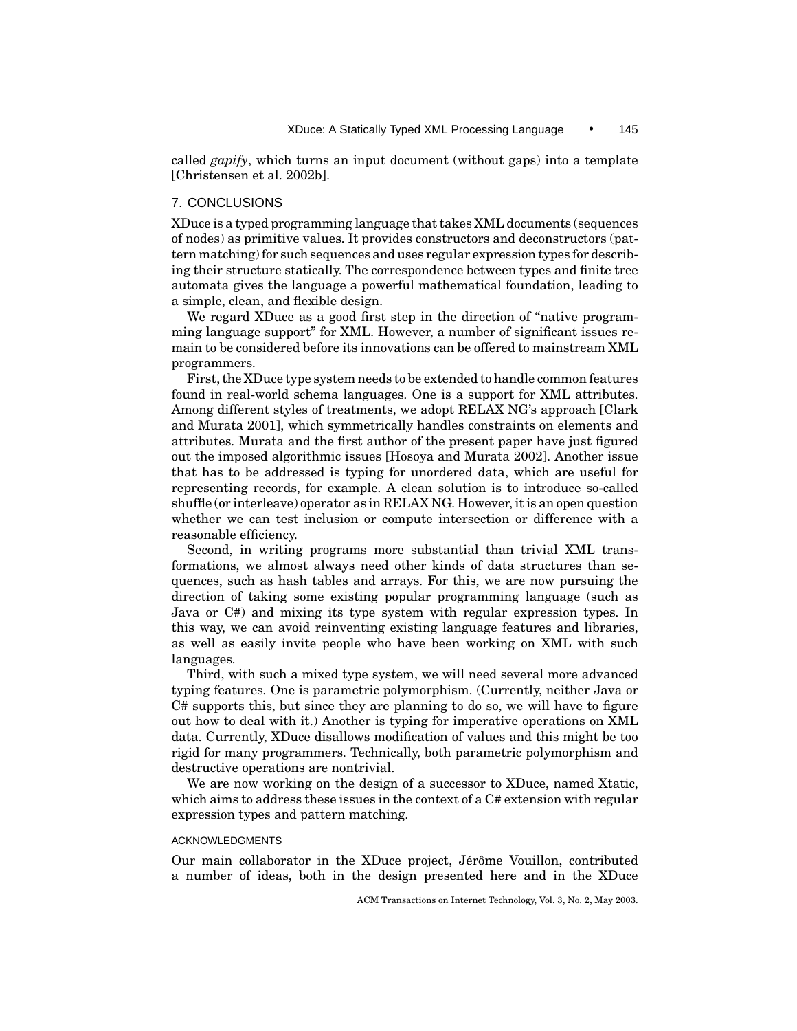called *gapify*, which turns an input document (without gaps) into a template [Christensen et al. 2002b].

# 7. CONCLUSIONS

XDuce is a typed programming language that takes XML documents (sequences of nodes) as primitive values. It provides constructors and deconstructors (pattern matching) for such sequences and uses regular expression types for describing their structure statically. The correspondence between types and finite tree automata gives the language a powerful mathematical foundation, leading to a simple, clean, and flexible design.

We regard XDuce as a good first step in the direction of "native programming language support" for XML. However, a number of significant issues remain to be considered before its innovations can be offered to mainstream XML programmers.

First, the XDuce type system needs to be extended to handle common features found in real-world schema languages. One is a support for XML attributes. Among different styles of treatments, we adopt RELAX NG's approach [Clark and Murata 2001], which symmetrically handles constraints on elements and attributes. Murata and the first author of the present paper have just figured out the imposed algorithmic issues [Hosoya and Murata 2002]. Another issue that has to be addressed is typing for unordered data, which are useful for representing records, for example. A clean solution is to introduce so-called shuffle (or interleave) operator as in RELAX NG. However, it is an open question whether we can test inclusion or compute intersection or difference with a reasonable efficiency.

Second, in writing programs more substantial than trivial XML transformations, we almost always need other kinds of data structures than sequences, such as hash tables and arrays. For this, we are now pursuing the direction of taking some existing popular programming language (such as Java or C#) and mixing its type system with regular expression types. In this way, we can avoid reinventing existing language features and libraries, as well as easily invite people who have been working on XML with such languages.

Third, with such a mixed type system, we will need several more advanced typing features. One is parametric polymorphism. (Currently, neither Java or C# supports this, but since they are planning to do so, we will have to figure out how to deal with it.) Another is typing for imperative operations on XML data. Currently, XDuce disallows modification of values and this might be too rigid for many programmers. Technically, both parametric polymorphism and destructive operations are nontrivial.

We are now working on the design of a successor to XDuce, named Xtatic, which aims to address these issues in the context of a  $C#$  extension with regular expression types and pattern matching.

### ACKNOWLEDGMENTS

Our main collaborator in the XDuce project, Jérôme Vouillon, contributed a number of ideas, both in the design presented here and in the XDuce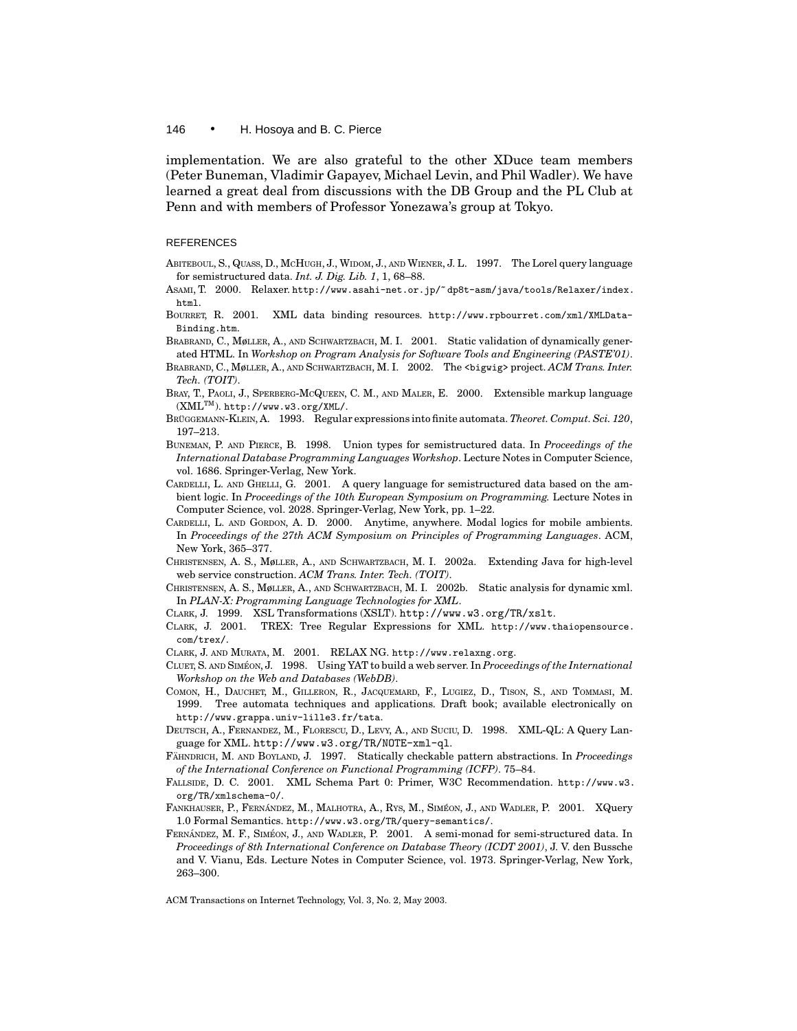implementation. We are also grateful to the other XDuce team members (Peter Buneman, Vladimir Gapayev, Michael Levin, and Phil Wadler). We have learned a great deal from discussions with the DB Group and the PL Club at Penn and with members of Professor Yonezawa's group at Tokyo.

#### REFERENCES

- ABITEBOUL, S., QUASS, D., MCHUGH, J., WIDOM, J., AND WIENER, J. L. 1997. The Lorel query language for semistructured data. *Int. J. Dig. Lib. 1*, 1, 68–88.
- ASAMI, T. 2000. Relaxer. http://www.asahi-net.or.jp/~ dp8t-asm/java/tools/Relaxer/index. html.
- BOURRET, R. 2001. XML data binding resources. http://www.rpbourret.com/xml/XMLData-Binding.htm.
- BRABRAND, C., MøLLER, A., AND SCHWARTZBACH, M. I. 2001. Static validation of dynamically generated HTML. In *Workshop on Program Analysis for Software Tools and Engineering (PASTE'01)*.
- BRABRAND, C., MøLLER, A., AND SCHWARTZBACH, M. I. 2002. The <bigwig> project. *ACM Trans. Inter. Tech. (TOIT)*.
- BRAY, T., PAOLI, J., SPERBERG-MCQUEEN, C. M., AND MALER, E. 2000. Extensible markup language (XMLTM). http://www.w3.org/XML/.
- BRÜGGEMANN-KLEIN, A. 1993. Regular expressions into finite automata. *Theoret. Comput. Sci. 120*, 197–213.
- BUNEMAN, P. AND PIERCE, B. 1998. Union types for semistructured data. In *Proceedings of the International Database Programming Languages Workshop*. Lecture Notes in Computer Science, vol. 1686. Springer-Verlag, New York.
- CARDELLI, L. AND GHELLI, G. 2001. A query language for semistructured data based on the ambient logic. In *Proceedings of the 10th European Symposium on Programming.* Lecture Notes in Computer Science, vol. 2028. Springer-Verlag, New York, pp. 1–22.
- CARDELLI, L. AND GORDON, A. D. 2000. Anytime, anywhere. Modal logics for mobile ambients. In *Proceedings of the 27th ACM Symposium on Principles of Programming Languages*. ACM, New York, 365–377.
- CHRISTENSEN, A. S., MøLLER, A., AND SCHWARTZBACH, M. I. 2002a. Extending Java for high-level web service construction. *ACM Trans. Inter. Tech. (TOIT)*.
- CHRISTENSEN, A. S., MøLLER, A., AND SCHWARTZBACH, M. I. 2002b. Static analysis for dynamic xml. In *PLAN-X: Programming Language Technologies for XML*.
- CLARK, J. 1999. XSL Transformations (XSLT). http://www.w3.org/TR/xslt.
- CLARK, J. 2001. TREX: Tree Regular Expressions for XML. http://www.thaiopensource. com/trex/.
- CLARK, J. AND MURATA, M. 2001. RELAX NG. http://www.relaxng.org.
- CLUET, S. AND SIMÉON, J. 1998. Using YAT to build a web server. In *Proceedings of the International Workshop on the Web and Databases (WebDB)*.
- COMON, H., DAUCHET, M., GILLERON, R., JACQUEMARD, F., LUGIEZ, D., TISON, S., AND TOMMASI, M. 1999. Tree automata techniques and applications. Draft book; available electronically on http://www.grappa.univ-lille3.fr/tata.
- DEUTSCH, A., FERNANDEZ, M., FLORESCU, D., LEVY, A., AND SUCIU, D. 1998. XML-QL: A Query Language for XML. http://www.w3.org/TR/NOTE-xml-ql.
- FÄHNDRICH, M. AND BOYLAND, J. 1997. Statically checkable pattern abstractions. In *Proceedings of the International Conference on Functional Programming (ICFP)*. 75–84.
- FALLSIDE, D. C. 2001. XML Schema Part 0: Primer, W3C Recommendation. http://www.w3. org/TR/xmlschema-0/.
- FANKHAUSER, P., FERNÁNDEZ, M., MALHOTRA, A., RYS, M., SIMÉON, J., AND WADLER, P. 2001. XQuery 1.0 Formal Semantics. http://www.w3.org/TR/query-semantics/.
- FERNÁNDEZ, M. F., SIMÉON, J., AND WADLER, P. 2001. A semi-monad for semi-structured data. In *Proceedings of 8th International Conference on Database Theory (ICDT 2001)*, J. V. den Bussche and V. Vianu, Eds. Lecture Notes in Computer Science, vol. 1973. Springer-Verlag, New York, 263–300.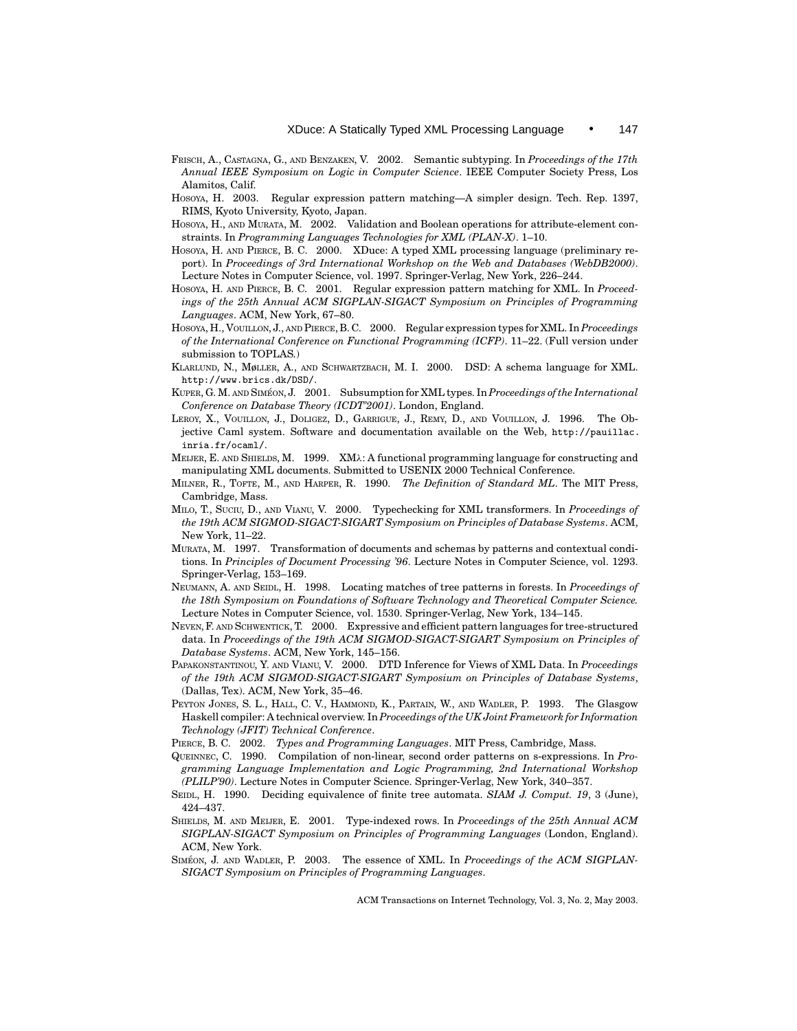- FRISCH, A., CASTAGNA, G., AND BENZAKEN, V. 2002. Semantic subtyping. In *Proceedings of the 17th Annual IEEE Symposium on Logic in Computer Science*. IEEE Computer Society Press, Los Alamitos, Calif.
- HOSOYA, H. 2003. Regular expression pattern matching—A simpler design. Tech. Rep. 1397, RIMS, Kyoto University, Kyoto, Japan.
- HOSOYA, H., AND MURATA, M. 2002. Validation and Boolean operations for attribute-element constraints. In *Programming Languages Technologies for XML (PLAN-X)*. 1–10.
- HOSOYA, H. AND PIERCE, B. C. 2000. XDuce: A typed XML processing language (preliminary report). In *Proceedings of 3rd International Workshop on the Web and Databases (WebDB2000)*. Lecture Notes in Computer Science, vol. 1997. Springer-Verlag, New York, 226–244.
- HOSOYA, H. AND PIERCE, B. C. 2001. Regular expression pattern matching for XML. In *Proceedings of the 25th Annual ACM SIGPLAN-SIGACT Symposium on Principles of Programming Languages*. ACM, New York, 67–80.
- HOSOYA, H., VOUILLON, J., AND PIERCE, B. C. 2000. Regular expression types for XML. In *Proceedings of the International Conference on Functional Programming (ICFP)*. 11–22. (Full version under submission to TOPLAS.)
- KLARLUND, N., MøLLER, A., AND SCHWARTZBACH, M. I. 2000. DSD: A schema language for XML. http://www.brics.dk/DSD/.
- KUPER, G. M. AND SIMÉON, J. 2001. Subsumption for XML types. In *Proceedings of the International Conference on Database Theory (ICDT'2001)*. London, England.
- LEROY, X., VOUILLON, J., DOLIGEZ, D., GARRIGUE, J., REMY, D., AND VOUILLON, J. 1996. The Objective Caml system. Software and documentation available on the Web, http://pauillac. inria.fr/ocaml/.
- MEIJER, E. AND SHIELDS, M. 1999. XMλ: A functional programming language for constructing and manipulating XML documents. Submitted to USENIX 2000 Technical Conference.
- MILNER, R., TOFTE, M., AND HARPER, R. 1990. *The Definition of Standard ML*. The MIT Press, Cambridge, Mass.
- MILO, T., SUCIU, D., AND VIANU, V. 2000. Typechecking for XML transformers. In *Proceedings of the 19th ACM SIGMOD-SIGACT-SIGART Symposium on Principles of Database Systems*. ACM, New York, 11–22.
- MURATA, M. 1997. Transformation of documents and schemas by patterns and contextual conditions. In *Principles of Document Processing '96*. Lecture Notes in Computer Science, vol. 1293. Springer-Verlag, 153–169.
- NEUMANN, A. AND SEIDL, H. 1998. Locating matches of tree patterns in forests. In *Proceedings of the 18th Symposium on Foundations of Software Technology and Theoretical Computer Science.* Lecture Notes in Computer Science, vol. 1530. Springer-Verlag, New York, 134–145.
- NEVEN, F. AND SCHWENTICK, T. 2000. Expressive and efficient pattern languages for tree-structured data. In *Proceedings of the 19th ACM SIGMOD-SIGACT-SIGART Symposium on Principles of Database Systems*. ACM, New York, 145–156.
- PAPAKONSTANTINOU, Y. AND VIANU, V. 2000. DTD Inference for Views of XML Data. In *Proceedings of the 19th ACM SIGMOD-SIGACT-SIGART Symposium on Principles of Database Systems*, (Dallas, Tex). ACM, New York, 35–46.
- PEYTON JONES, S. L., HALL, C. V., HAMMOND, K., PARTAIN, W., AND WADLER, P. 1993. The Glasgow Haskell compiler: A technical overview. In *Proceedings of the UK Joint Framework for Information Technology (JFIT) Technical Conference*.
- PIERCE, B. C. 2002. *Types and Programming Languages*. MIT Press, Cambridge, Mass.
- QUEINNEC, C. 1990. Compilation of non-linear, second order patterns on s-expressions. In *Programming Language Implementation and Logic Programming, 2nd International Workshop (PLILP'90)*. Lecture Notes in Computer Science. Springer-Verlag, New York, 340–357.
- SEIDL, H. 1990. Deciding equivalence of finite tree automata. *SIAM J. Comput. 19*, 3 (June), 424–437.
- SHIELDS, M. AND MEIJER, E. 2001. Type-indexed rows. In *Proceedings of the 25th Annual ACM SIGPLAN-SIGACT Symposium on Principles of Programming Languages* (London, England). ACM, New York.
- SIMEON, J. AND WADLER, P. 2003. The essence of XML. In *Proceedings of the ACM SIGPLAN*-*SIGACT Symposium on Principles of Programming Languages*.